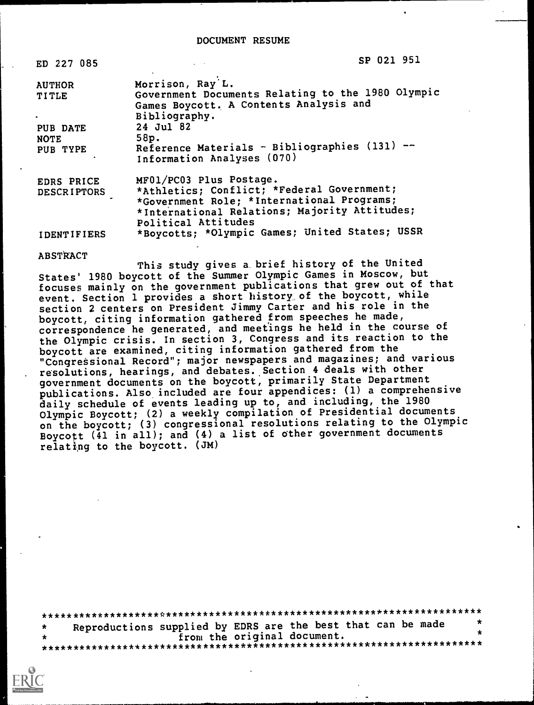| ED 227 085             | SP 021 951                                                                  |
|------------------------|-----------------------------------------------------------------------------|
| <b>AUTHOR</b><br>TITLE | Morrison, Ray L.<br>Government Documents Relating to the 1980 Olympic       |
| ٠                      | Games Boycott. A Contents Analysis and<br>Bibliography.                     |
| PUB DATE               | 24 Jul 82                                                                   |
| <b>NOTE</b>            | 58p.                                                                        |
| PUB TYPE               | Reference Materials - Bibliographies (131) --<br>Information Analyses (070) |
| EDRS PRICE             | MF01/PC03 Plus Postage.                                                     |
| <b>DESCRIPTORS</b>     | *Athletics; Conflict; *Federal Government;                                  |
|                        | *Government Role; *International Programs;                                  |
|                        | *International Relations; Majority Attitudes;<br>Political Attitudes        |
| IDENTIFIERS            | *Boycotts; *Olympic Games; United States; USSR                              |

#### **ABSTRACT**

This study gives a brief history of the United States' 1980 boycott of the Summer Olympic Games in Moscow, but focuses mainly on the government publications that grew out of that event. Section 1 provides a short history of the boycott, while section 2 centers on President Jimmy Carter and his role in the boycott, citing information gathered from speeches he made, correspondence he generated, and meetings he held in the course of the Olympic crisis. In section 3, Congress and its reaction to the boycott are examined, citing information gathered from the "Congressional Record"; major newspapers and magazines; and various resolutions, hearings, and debates. Section 4 deals with other government documents on the boycott, primarily State Department publications. Also included are four appendices: (1) a comprehensive daily schedule of events leading up to, and including, the 1980 Olympic Boycott; (2) a weekly compilation of Presidential documents on the boycott; (3) congressional resolutions relating to the Olympic Boycott (41 in all); and (4) a list of other government documents relating to the boycott. (JM)

| $\star$ | Reproductions supplied by EDRS are the best that can be made |  |
|---------|--------------------------------------------------------------|--|
| $\star$ | from the original document.                                  |  |
|         |                                                              |  |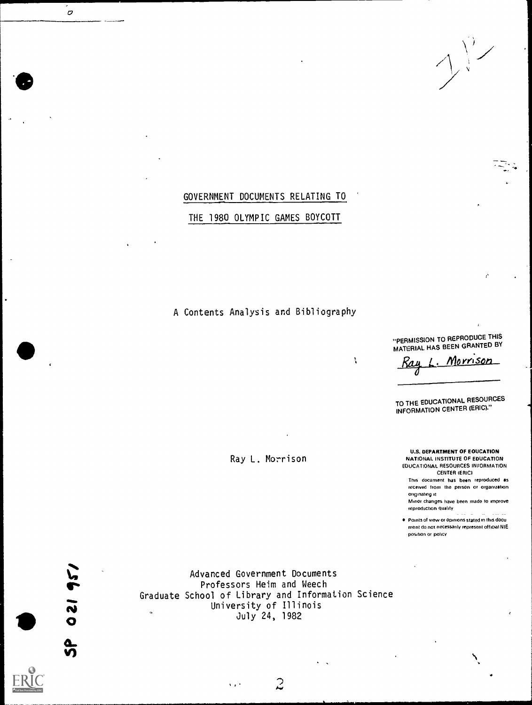### GOVERNMENT DOCUMENTS RELATING TO

### THE 1980 OLYMPIC GAMES BOYCOTT

## A Contents Analysis and Bibliography

N

Ray L. Morrison

"PERMISSION TO REPRODUCE THIS MATERIAL HAS BEEN GRANTED BY

Morri<u>son</u>

TO THE EDUCATIONAL RESOURCES INFORMATION CENTER (ERIC)."

U.S. DEPARTMENT OF EDUCATION NATIONAL INSTITUTE OF EDUCATION EDUCATIONAL RESOURCES INFORMATION CENTER (ERIC)

This document has been reproduced as received from the person or organization onginahng It

Minor changes have been made to improve reproduction quality

Points of view or opinions stated in this docu ment do nol necessanly represent official NIE posdion or pohcy



 $\overline{c}$ 

Advanced Government Documents<br>Professors Heim and Weech **I** Professors Heim and Weech Professors Heim and Weech Allen Contract the Contract of the Contract of the Contract of the Contract of the Contract of the Contract of the Contract of the Contract of the Contract of the Con Graduate School of Library and Information Science  $\sim$  University of Illinois July 24, 1982

 $s \cdot \overline{z}$  ,  $z \cdot \overline{z}$  ,  $z \cdot \overline{z}$  ,  $z \cdot \overline{z}$  ,  $z \cdot \overline{z}$  ,  $z \cdot \overline{z}$  ,  $z \cdot \overline{z}$  ,  $z \cdot \overline{z}$  ,  $z \cdot \overline{z}$  ,  $z \cdot \overline{z}$  ,  $z \cdot \overline{z}$  ,  $z \cdot \overline{z}$  ,  $z \cdot \overline{z}$  ,  $z \cdot \overline{z}$  ,  $z \cdot \overline{z}$  ,  $z \cdot \overline{z}$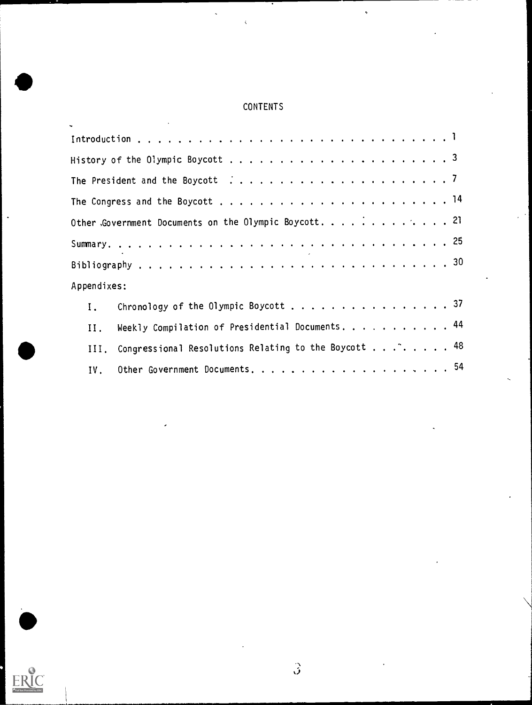# **CONTENTS**

l.

 $\hat{\mathbf{v}}$ 

 $\bullet$ 

|             | Other Government Documents on the Olympic Boycott. 21              |
|-------------|--------------------------------------------------------------------|
|             |                                                                    |
|             |                                                                    |
| Appendixes: |                                                                    |
| Ι.          | Chronology of the Olympic Boycott 37                               |
|             | II. Weekly Compilation of Presidential Documents. 44               |
|             | III. Congressional Resolutions Relating to the Boycott $\ldots$ 48 |
| IV.         |                                                                    |

 $\overbrace{\text{ERIC}}^{\text{C}}$ 

..

 $\hat{\beta}$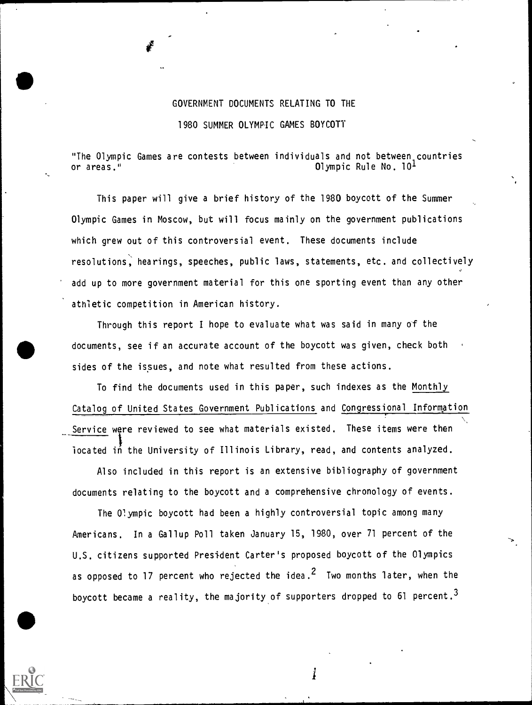## GOVERNMENT DOCUMENTS RELATING TO THE 1980 SUMMER OLYMPIC GAMES BOYCOTT

"The Olympic Games are contests between individuals and not between countries or areas." Olympic Rule No. 101

This paper will give a brief history of the 1980 boycott of the Summer Olympic Games in Moscow, but will focus mainly on the government publications which grew out of this controversial event. These documents include resolutions, hearings, speeches, public laws, statements, etc. and collectively add up to more government material for this one sporting event than any other athletic competition in American history.

Through this report I hope to evaluate what was said in many of the documents, see if an accurate account of the boycott was given, check both sides of the issues, and note what resulted from these actions.

To find the documents used in this paper, such indexes as the Monthly Catalog of United States Government Publications and Congressional Information Service were reviewed to see what materials existed. These items were then iocated in the University of Illinois Library, read, and contents analyzed.  $\lambda,$ 

Also included in this report is an extensive bibliography of government documents relating to the boycott and a comprehensive chronology of events.

The Olympic boycott had been a highly controversial topic among many Americans. In a Gallup Poll taken January 15, 1980, over 71 percent of the U.S. citizens supported President Carter's proposed boycott of the Olympics as opposed to 17 percent who rejected the idea.<sup>2</sup> Two months later, when the boycott became a reality, the majority of supporters dropped to 61 percent.<sup>3</sup>

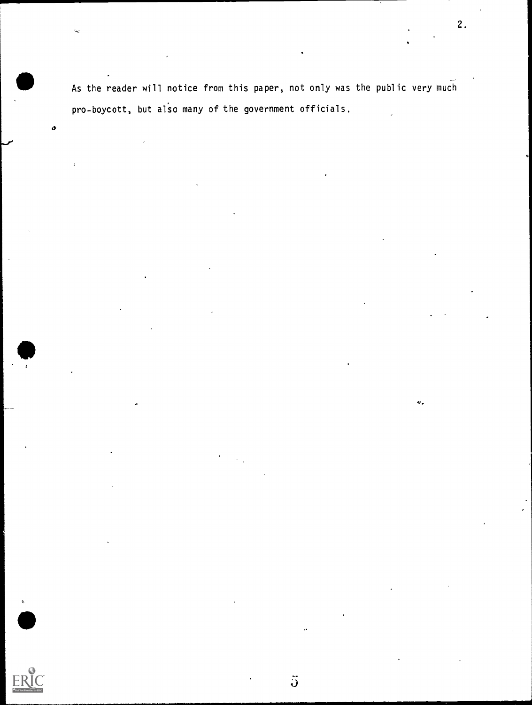--- As the reader will notice from this paper, not only was the public very much pro-boycott, but also many of the government officials.

2.

 $\sigma$ .

o

 $\ddot{\mathbf{J}}$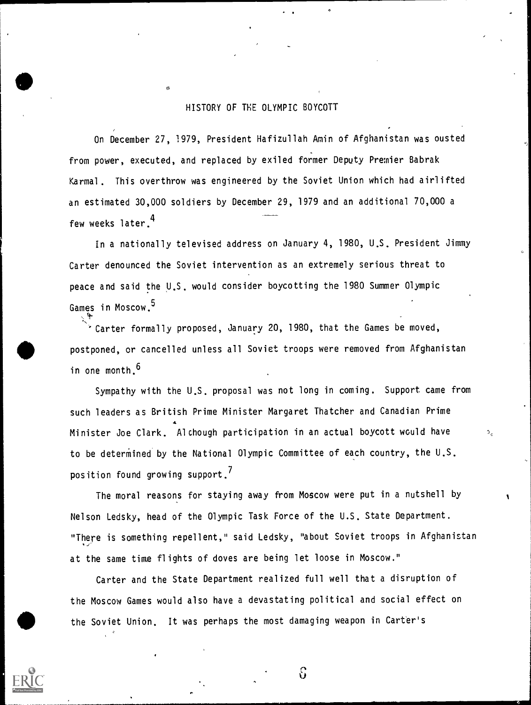### HISTORY OF THE OLYMPIC BOYCOTT

On December 27, 1979, President Hafizullah Amin of Afghanistan was ousted from power, executed, and replaced by exiled former Deputy Premier Babrak Karmal. This overthrow was engineered by the Soviet Union which had airlifted an estimated 30,000 soldiers by December 29, 1979 and an additional 70,000 a few weeks later. 4

In a nationally televised address on January 4, 1980, U.S. President Jimmy Carter denounced the Soviet intervention as an extremely serious threat to peace and said the U.S. would consider boycotting the 1980 Summer Olympic Games in Moscow.<sup>5</sup>

'Carter formally proposed, January 20, 1980, that the Games be moved, postponed, or cancelled unless all Soviet troops were removed from Afghanistan in one month.<sup>6</sup>

Sympathy with the U.S. proposal was not long in coming. Support came from such leaders as British Prime Minister Margaret Thatcher and Canadian Prime Minister Joe Clark. Alchough participation in an actual boycott would have to be determined by the National Olympic Committee of each country, the U.S. position found growing support.<sup>7</sup>

The moral reasons for staying away from Moscow were put in a nutshell by Nelson Ledsky, head of the Olympic Task Force of the U.S. State Department. "There is something repellent," said Ledsky, "about Soviet troops in Afghanistan at the same time flights of doves are being let loose in Moscow."

Carter and the State Department realized full well that a disruption of the Moscow Games would also have a devastating political and social effect on the Soviet Union. It was perhaps the most damaging weapon in Carter's



ပ်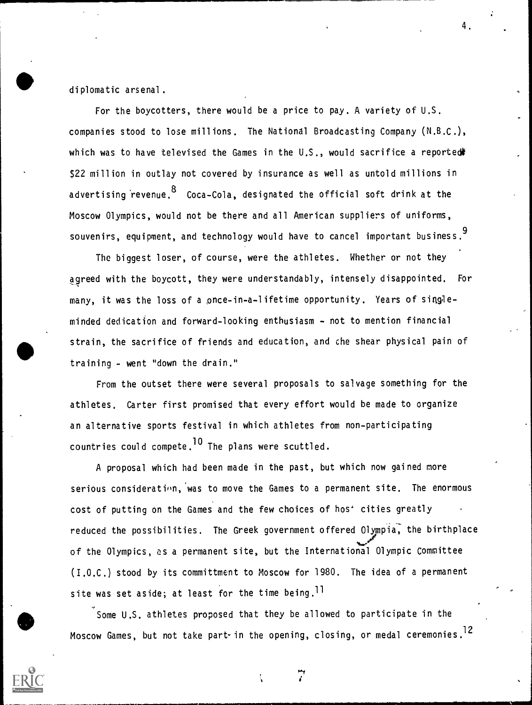diplomatic arsenal.

For the boycotters, there would be a price to pay. A variety of U.S. companies stood to lose millions. The National Broadcasting Company (N.B.C.), which was to have televised the Games in the U.S., would sacrifice a reported# \$22 million in outlay not covered by insurance as well as untold millions in advertising revenue.  $8\,$  Coca-Cola, designated the official soft drink at the Moscow Olympics, would not be there and all American suppliers of uniforms, souvenirs, equipment, and technology would have to cancel important business.<sup>9</sup>

4.

The biggest loser, of course, were the athletes. Whether or not they agreed with the boycott, they were understandably, intensely disappointed. For many, it was the loss of a once-in-a-lifetime opportunity. Years of singleminded dedication and forward-looking enthusiasm - not to mention financial strain, the sacrifice of friends and education, and che shear physical pain of training - went "down the drain."

From the outset there were several proposals to salvage something for the athletes. Carter first promised that every effort would be made to organize an alternative sports festival in which athletes from non-participating countries could compete. <sup>10</sup> The plans were scuttled.

A proposal which had been made in the past, but which now gained more serious consideration, was to move the Games to a permanent site. The enormous cost of putting on the Games and the few choices of hos<sup>+</sup> cities greatly reduced the possibilities. The Greek government offered Olympia, the birthplace of the Olympics, as a permanent site, but the International Olympic Committee (I.O.C.) stood by its committment to Moscow for 1980. The idea of a permanent site was set aside; at least for the time being.<sup>11</sup>

Some U.S. athletes proposed that they be allowed to participate in the Moscow Games, but not take part- in the opening, closing, or medal ceremonies.<sup>12</sup>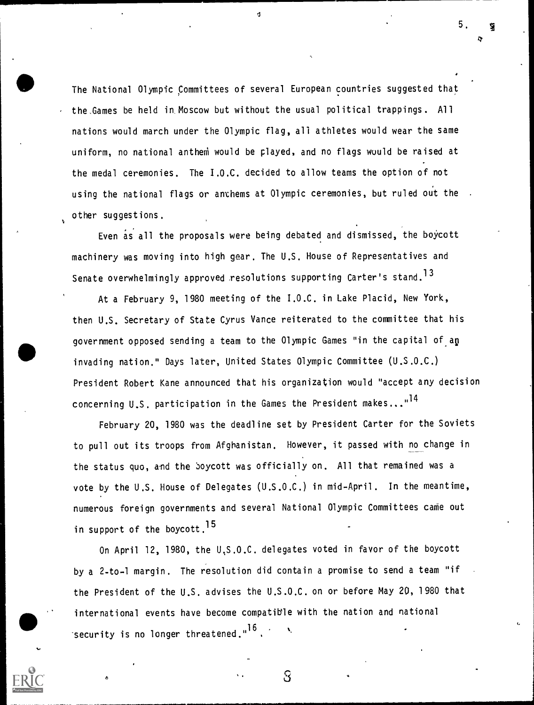The National Olympic Committees of several European countries suggested that the.Games be held in Moscow but without the usual political trappings. All nations would march under the Olympic flag, all athletes would wear the same uniform, no national anthem would be played, and no flags would be raised at the medal ceremonies. The I.O.C. decided to allow teams the option of not using the national flags or anthems at Olympic ceremonies, but ruled ou't the other suggestions.

 $\sigma$  and  $\sigma$ 

Even as all the proposals were being debated and dismissed, the boycott machinery was moving into high gear. The U.S. House of Representatives and Senate overwhelmingly approved resolutions supporting Carter's stand.<sup>13</sup>

At a February 9, 1980 meeting of the I.O.C. in Lake Placid, New York, then U.S. Secretary of State Cyrus Vance reiterated to the committee that his government opposed sending a team to the Olympic Games "in the capital of.ap invading nation." Days later, United States Olympic Committee (U.S.O.C.) President Robert Kane announced that his organization would "accept any decision concerning U.S. participation in the Games the President makes..."<sup>14</sup>

February 20, 1980 was the deadline set by President Carter for the Soviets to pull out its troops from Afghanistan. However, it passed with no change in , the status quo, and the boycott was officially on. All that remained was a vote by the U.S. House of Delegates (U.S.O.C.) in mid-April. In the meantime, numerous foreign governments and several National Olympic Committees came out in support of the boycott.<sup>15</sup>

On April 12, 1980, the U,S.O.C. delegates voted in favor of the boycott by a 2-to-1 margin. The resolution did contain a promise to send a team "if the President of the U.S. advises the U.S.O.C. on or before May 20, 1980 that international events have become compatible with the nation and national security is no longer threatened."<sup>10</sup>.

 $\sim$  3  $\sim$  3  $\sim$ 

5.

I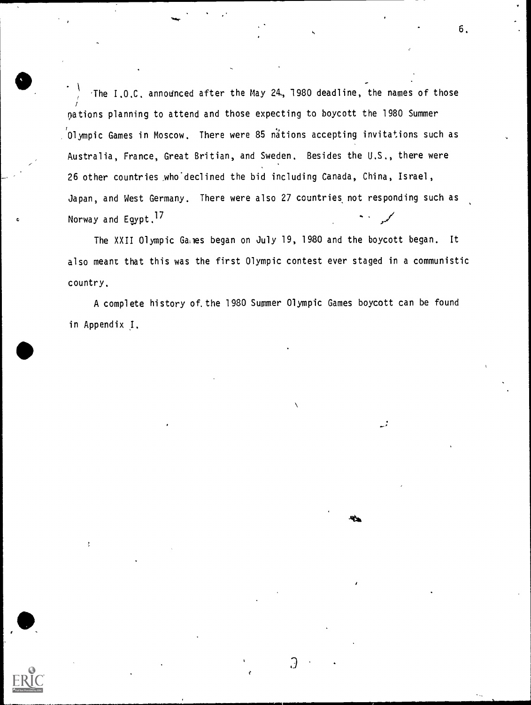'The I.O.C. announced after the May 24, 1980 deadline, the names of those nations planning to attend and those expecting to boycott the 1980 Summer 'Olympic Games in Moscow. There were 85 na'tions accepting invitations such as Australia, France, Great Britian, and Sweden. Besides the U.S., there were 26 other countries who declined the bid including Canada, China, Israel, Japan, and West Germany. There were also 27 countries, not responding such as Norway and Egypt.17

6.

The XXII Olympic Ganes began on July 19, 1980 and the boycott began. It also meant that this was the first Olympic contest ever staged in a communistic country.

A complete history of.the 1980 Summer Olympic Games boycott can be found in Appendix J.

Э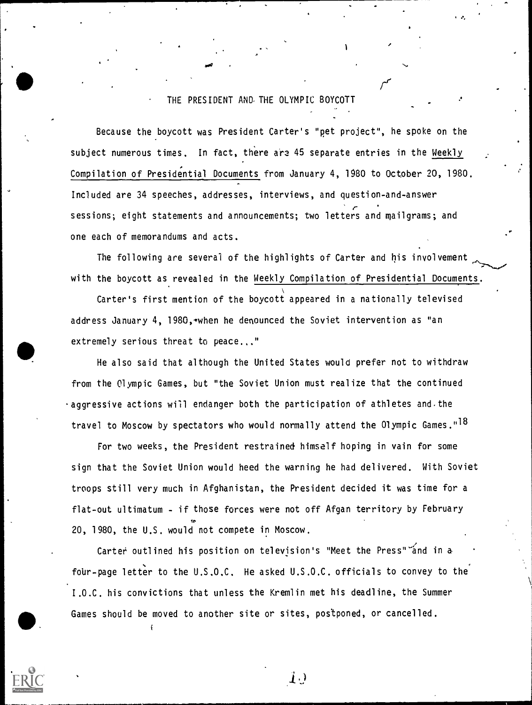### THE PRESIDENT AND. THE OLYMPIC BOYCOTT

re

i e

ao:

Because the boycott was President Carter's "pet project", he spoke on the subject numerous times. In fact, there are 45 separate entries in the Weekly Compilation of Presidential Documents from January 4, 1980 to October 20, 1980. Included are 34 speeches, addresses, interviews, and question-and-answer sessions; eight statements and announcements; two letters and mailgrams; and one each of memorandums and acts.

The following are several of the highlights of Carter and his involvement with the boycott as revealed in the Weekly Compilation of Presidential Documents.

Carter's first mention of the boycott appeared in a nationally televised address January 4, 1980, when he denounced the Soviet intervention as "an extremely serious threat to peace..."

He also said that although the United States would prefer not to withdraw from the Olympic Games, but "the Soviet Union must realize that the continued  $\cdot$  aggressive actions will endanger both the participation of athletes and the travel to Moscow by spectators who would normally attend the Olympic Games."<sup>18</sup>

For two weeks, the President restrained himself hoping in vain for some sign that the Soviet Union would heed the warning he had delivered. With Soviet troops still very much in Afghanistan, the President decided it was time for a flat-out ultimatum - if those forces were not off Afgan territory by February 20, 1980, the U.S. would not compete in Moscow.

Carter outlined his position on television's "Meet the Press" and in a four-page letter to the U.S.O.C. He asked U.S.O.C. officials to convey to the I.O.C. his convictions that unless the Kremlin met his deadline, the Summer Games should be moved to another site or sites, postponed, or cancelled.

 $\ket{1}$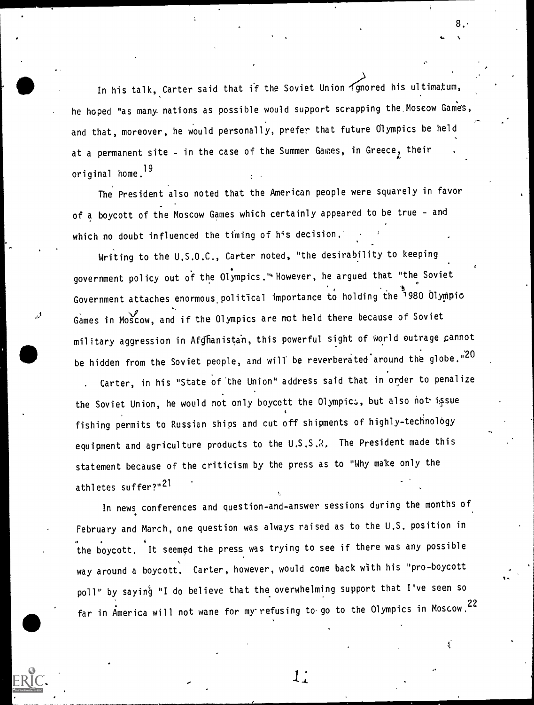In his talk, Carter said that if the Soviet Union  $\widetilde{4}$  gnored his ultimatum, he hoped "as many nations as possible would support scrapping the,Moscow Game's, and that, moreover, he would personally, prefer that future Olympics be held at a permanent site - in the case of the Summer Games, in Greece, their original home.19

8. t.

The President also noted that the American people were squarely in favor of a boycott of the Moscow Games which certainly appeared to be true - and which no doubt influenced the timing of his decision.

Writing to the U.S.O.C., Carter noted, "the desirability to keeping government policy out of the Olympics."'However, he argued that "the Soviet Government attaches enormous political importance to holding the 1980 Olympic Games in Moscow, and if the Olympics are not held there because of Soviet military aggression in Afghanistan, this powerful sight of world outrage cannot be hidden from the Soviet people, and will be reverberated around the globe."<sup>20</sup> . Carter, in his "State of the Union" address said that in order to penalize the Soviet Union, he would not only boycott the Olympics, but also not issue fishing permits to Russian ships and cut off shipments of highly-technology equipment and agriculture products to the U.S.S.R. The President made this statement because of the criticism by the press as to "Why make only the athletes suffer?"21

In news conferences and question-and-answer sessions during the months of February and March, one question was always raised as to the U.S. position in the boycott. It seemed the press was trying to see if there was any possible way around a boycott. Carter, however, would come back with his "pro-boycott poll" by saying "I do believe that the overwhelming support that I've seen so far in America will not wane for my refusing to go to the Olympics in Moscow,  $22$ 

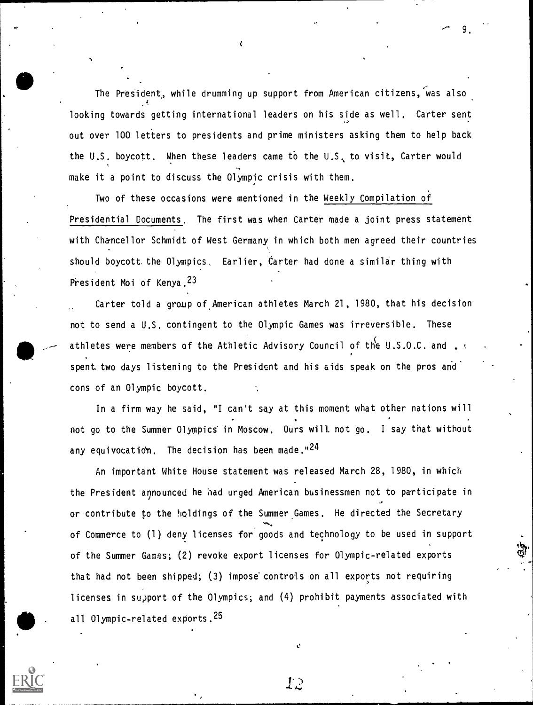The President, while drumming up support from American citizens, was also looking towards getting international leaders on his side as well. Carter sent out over 100 letters to presidents and prime ministers asking them to help back the U.S. boycott. When these leaders came to the U.S. to visit, Carter would make it a point to discuss the Olympic crisis with them.

Two of these occasions were mentioned in the Weekly Compilation of Presidential Documents. The first was when Carter made a joint press statement with Chancellor Schmidt of West Germany in which both men agreed their countries should boycott the Olympics. Earlier, Carter had done a similar thing with President Moi of Kenya.23

Carter told a group of.American athletes March 21, 1980, that his decision not to send a U.S. contingent to the Olympic Games was irreversible. These athletes were members of the Athletic Advisory Council of the U.S.O.C. and ,  $\cdot$ spent two days listening to the President and his aids speak on the pros and' cons of an Olympic boycott.

In a firm way he said, "I can't say at this moment what other nations will not go to the Summer Olympics' in Moscow. Ours will not go. <sup>I</sup> say that without any equivocation. The decision has been made."<sup>24</sup>

An important White House statement was released March 28, 1980, in which the President announced he had urged American businessmen not to participate in or contribute to the holdings of the Summer Games. He directed the Secretary of Commerce to (1) deny licenses for'goods and technology to be used in support of the Summer Games; (2) revoke export licenses for Olympic-related exports that had not been shipped; (3) impose controls on all exports not requiring licenses in support of the Olympics; and (4) prohibit payments associated with all Olympic-related exports.<sup>25</sup>



ГP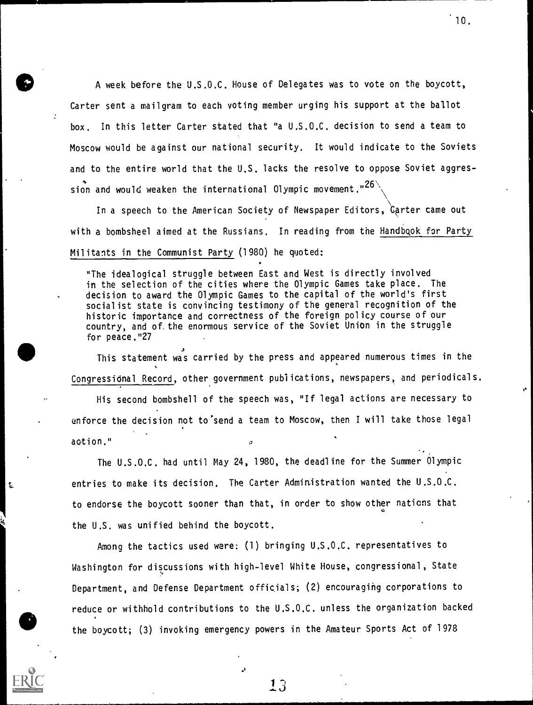A week before the U.S.O.C. House of Delegates was to vote on the boycott, Carter sent a mailgram to each voting member urging his support at the ballot box. In this letter Carter stated that "a U.S.O.C. decision to send a team to Moscow would be against our national security. It would indicate to the Soviets and to the entire world that the U.S. lacks the resolve to oppose Soviet aggression and would weaken the international Olympic movement." $26\%$ 

In a speech to the American Society of Newspaper Editors,  $\mathrm{\`c}_\mathrm{\`a}$ rter came out with a bombsheel aimed at the Russians. In reading from the Handbook for Party Militants in the Communist Party (1980) he quoted:

"The idealogical struggle between East and West is directly involved in the selection of the cities where the Olympic Games take place. The decision to award the Olympic Games to the capital of the world's first socialist state is convincing testimony of the general recognition of the historic importance and correctness of the foreign policy course of our country, and of,the enormous service of the Soviet Union in the struggle for peace."27

This statement was carried by the press and appeared numerous times in the  $\,$ ,. Congressional Record, other government publications, newspapers, and periodicals.

His second bombshell of the speech was, "If legal actions are necessary to enforce the decision not to'send a team to Moscow, then I will take those legal action."

The U.S.O.C. had until May 24, 1980, the deadline for the Summer Olympic entries to make its decision. The Carter Administration wanted the U.S.O.C. to endorse the boycott sooner than that, in order to show other nations that the U.S. was unified behind the boycott.

t.

Among the tactics used were: (1) bringing U.S.O.C. representatives to Washington for discussions with high-level White House, congressional, State Department, and Defense Department officials; (2) encouraging corporations to reduce or withhold contributions to the U.S.O.C. unless the organization backed the boycott; (3) invoking emergency powers in the Amateur Sports Act of 1978

10.

13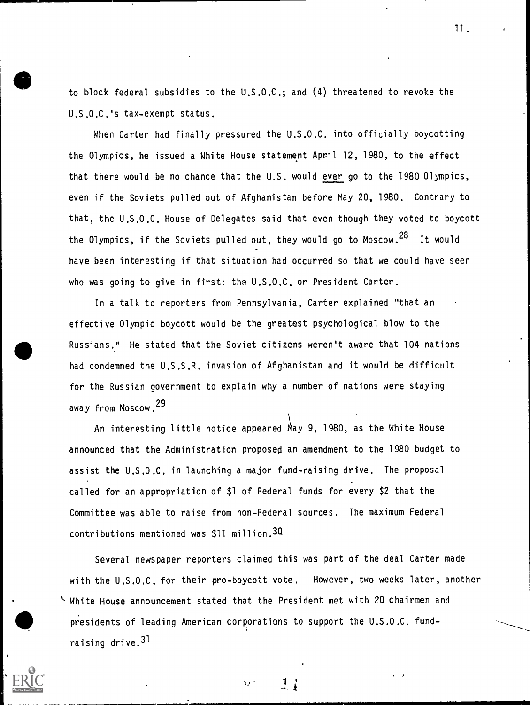to block federal subsidies to the U.S.O.C.; and (4) threatened to revoke the U.S.O.C.'s tax-exempt status.

When Carter had finally pressured the U.S.O.C. into officially boycotting the Olympics, he issued a White House statement April 12, 1980, to the effect that there would be no chance that the U.S. would ever go to the 1980 Olympics, even if the Soviets pulled out of Afghanistan before May 20, 1980. Contrary to that, the U.S.O.C. House of Delegates said that even though they voted to boycott the Olympics, if the Soviets pulled out, they would go to Moscow.<sup>28</sup> It would have been interesting if that situation had occurred so that we could have seen who was going to give in first: the U.S.O.C. or President Carter.

effective Olympic boycott would be the greatest psychological blow to the<br>Russians." He stated that the Soviet citizens weren't aware that 104 nations<br>had condemned the U.S.S.R. invasion of Afghanistan and it would be diff In a talk to reporters from Pennsylvania, Carter explained "that an Russians.." He stated that the Soviet citizens weren't aware that 104 nations had condemned the U.S.S.R. invasion of Afghanistan and it would be difficult for the Russian government to explain why a number of nations were staying away from Moscow. <sup>29</sup>

> An interesting little notice appeared May 9, 1980, as the White House announced that the Administration proposed an amendment to the 1980 budget to assist the U.S.O.C. in launching a major fund-raising drive. The proposal called for an appropriation of \$1 of Federal funds for every \$2 that the Committee was able to raise from non-Federal sources. The maximum Federal contributions mentioned was \$11 million.30

presidents of leading Am Several newspaper reporters claimed this was part of the deal Carter made with the U.S.O.C. for their pro-boycott vote. However, two weeks later, another ',White House announcement stated that the President met with 20 chairmen and presidents of leading American corporations to support the U.S.O.C. fundraising drive.31

 $\mathbf{U}$ 

,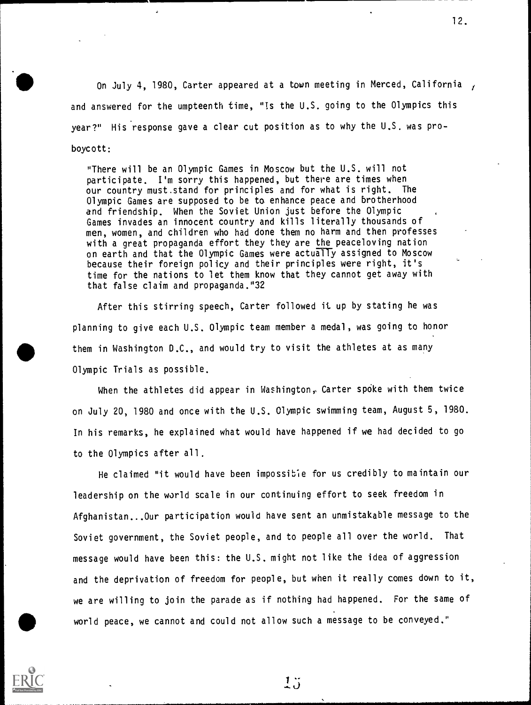On July 4, 1980, Carter appeared at a town meeting in Merced, California , and answered for the umpteenth time, "Is the U.S. going to the Olympics this year?" His response gave a clear cut position as to why the U.S. was pro boycott:

"There will be an Olympic Games in Moscow but the U.S. will not participate. I'm sorry this happened, but there are times when our country must.stand for principles and for what is right. The Olympic Games are supposed to be to enhance peace and brotherhood and friendship. When the Soviet Union just before the Olympic . Games invades an innocent country and kills literally thousands of men, women, and children who had done them no harm and then professes with a great propaganda effort they they are the peaceloving nation on earth and that the Olympic Games were actually assigned to Moscow because their foreign policy and their principles were right, it's time for the nations to let them know that they cannot get away with that false claim and propaganda."32

After this stirring speech, Carter followed it up by stating he was planning to give each U.S. Olympic team member a medal, was going to honor them in Washington D.C., and would try to visit the athletes at as many Olympic Trials as possible.

When the athletes did appear in Washington, Carter spoke with them twice on July 20, 1980 and once with the U.S. Olympic swimming team, August 5, 1980. In his remarks, he explained what would have happened if we had decided to go to the Olympics after all.

world peace, we cannot and could not allow such a message to be conveyed." He claimed "it would have been impossible for us credibly to maintain our leadership on the world scale in our continuing effort to seek freedom in Afghanistan...Our participation would have sent an unmistakable message to the Soviet government, the Soviet people, and to people all over the world. That message would have been this: the U.S. might not like the idea of aggression and the deprivation of freedom for people, but when it really comes down to it, we are willing to join the parade as if nothing had happened. For the same of



 $1\degree$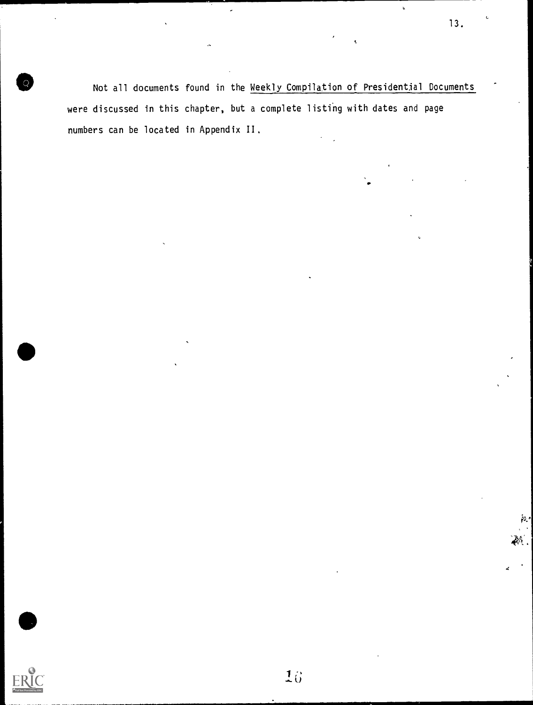Not all documents found in the Weekly Compilation of Presidential Documents were discussed in this chapter, but a complete listihg with dates and page numbers can be located in Appendix 11.



13.

 $\ddot{\phantom{a}}$ 

a.

k,

,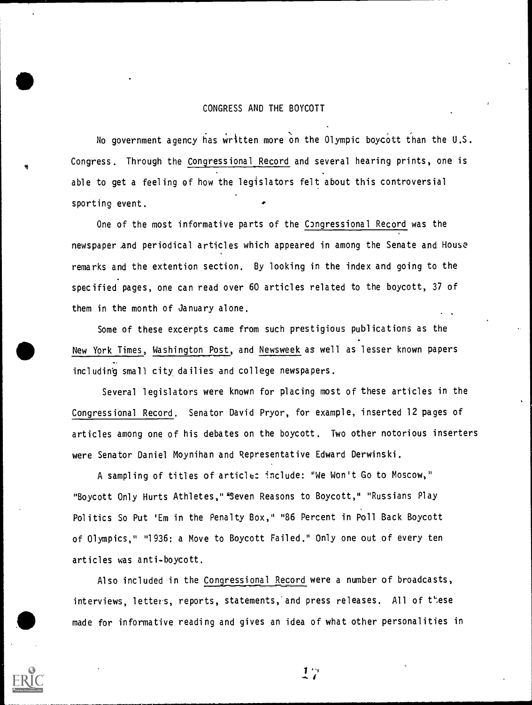#### CONGRESS AND THE BOYCOTT

No government agency has written more on the Olympic boycott than the U.S. Congress. Through the Congressional Record and several hearing prints, one is able to get a feeling of how the legislators felt about this controversial sporting event.

One of the most informative parts of the Congressional Record was the newspaper And periodical articles which appeared in among the Senate and House remarks and the extention section. By looking in the index and going to the specified pages, one can read over 60 articles related to the boycott, 37 of them in the month of January alone.

Some of these excerpts came from such prestigious publications as the New York Times, Washington Post, and Newsweek as well as lesser known papers including small city dailies and college newspapers.

Several legislators were known for placing most of these articles in the Congressional Record. Senator David Pryor, for example, inserted 12 pages of articles among one of his debates on the boycott. Two other notorious inserters were Senator Daniel Moynihan and Representative Edward Derwinski.

A sampling of titles of articles include: "We Won't Go to Moscow," "Boycott Only Hurts Athletes," "Seven Reasons to Boycott," "Russians Play Politics So Put 'Em in the Penalty Box," "86 Percent in Poll Back Boycott of Olympics," "1936: a Move to Boycott Failed." Only one out of every ten articles was anti-boycott.

Also included in the Congressional Record were a number of broadcasts, interviews, letters, reports, statements, and press releases. All of these made for informative reading and gives an idea of what other personalities in

 $17$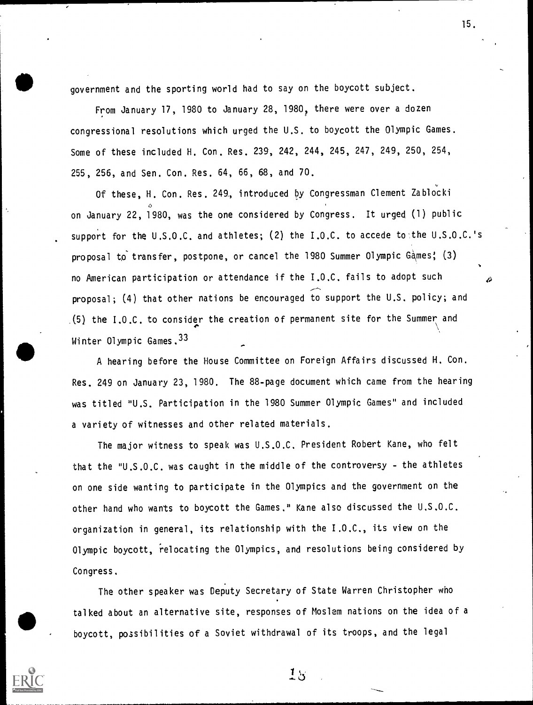government and the sporting world had to say on the boycott subject.

From January 17, 1980 to January 28, 1980, there were over a dozen congressional resolutions which urged the U.S. to boycott the Olympic Games. Some of these included H. Con. Res. 239, 242, 244, 245, 247, 249, 250, 254, 255, 256, and Sen. Con. Res. 64, 66, 68, and 70.

Of these, H. Con. Res. 249, introduced by Congressman Clement Zablocki on January 22, 1980, was the one considered by Congress. It urged (1) public support for the U.S.O.C. and athletes; (2) the I.O.C. to accede to the U.S.O.C.'s proposal to transfer, postpone, or cancel the 1980 Summer Olympic Games; (3) no American participation or attendance if the I.O.C. fails to adopt such proposal; (4) that other nations be encouraged to support the U.S. policy; and .(5) the I.O.C. to consider the creation of permanent site for the Summer and Winter Olympic Games.33

A hearing before the House Committee on Foreign Affairs discussed H. Con. Res. 249 on January 23, 1980. The 88-page document which came from the hearing was titled "U.S. Participation in the 1980 Summer Olympic Games" and included a variety of witnesses and other related materials.

The major witness to speak was U.S.O.C. President Robert Kane, who felt that the "U,S.0,C. was caught in the middle of the controversy - the athletes on one side wanting to participate in the Olympics and the government on the other hand who wants to boycott the Games." Kane also discussed the U.S.O.C. organization in general, its relationship with the I.O.C., its view on the Olympic boycott, 'relocating the Olympics, and resolutions being considered by Congress.

The other speaker was Deputy Secretary of State Warren Christopher who talked about an alternative site, responses of Moslem nations on the idea of a boycott, possibilities of a Soviet withdrawal of its troops, and the legal

 $18$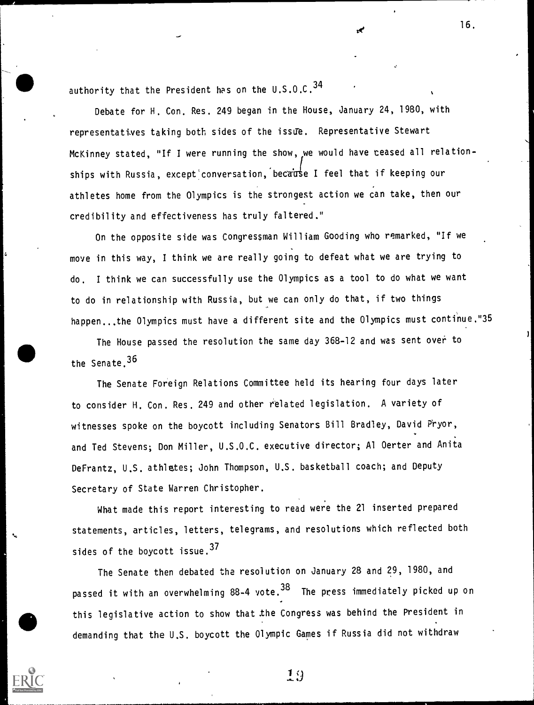authority that the President has on the  $0.5.0.C.^34$ 

Debate for H. Con. Res. 249 began in the House, January 24, 1980, with representatives taking both sides of the issue. Representative Stewart McKinney stated, "If I were running the show, we would have teased all relationships with Russia, except conversation, because I feel that if keeping our athletes home from the Olympics is the strongest action we can take, then our credibility and effectiveness has truly faltered."

On the opposite side was Congressman William Gooding who remarked, "If we move in this way, I think we are really going to defeat what we are trying to do. I think we can successfully use the Olympics as a tool to do what we want to do in relationship with Russia, butwe can only do that, if two things happen...the Olympics must have a different site and the Olympics must continue."35

The House passed the resolution the same day 368-12 and was sent over to the Senate. <sup>36</sup>

The Senate Foreign Relations Committee held its hearing four days later to consider H. Con. Res. 249 and other related legislation. A variety of witnesses spoke on the boycott including Senators Bill Bradley, David Pryor, and Ted Stevens; Don Miller, U.S.O.C. executive director; Al Oerter and Anita DeFrantz, U.S. athletes; John Thompson, U.S. basketball coach; and Deputy Secretary of State Warren Christopher.

What made this report interesting to read were the 21 inserted prepared statements, articles, letters, telegrams, and resolutions which reflected both sides of the boycott issue.<sup>37</sup>

The Senate then debated the resolution on January 28 and 29, 1980, and passed it with an overwhelming 88-4 vote.<sup>38</sup> The press immediately picked up on this legislative action to show that the Congress was behind the President in demanding that the U.S. boycott the Olympic Games if Russia did not withdraw



 $19$ 

16.

Dite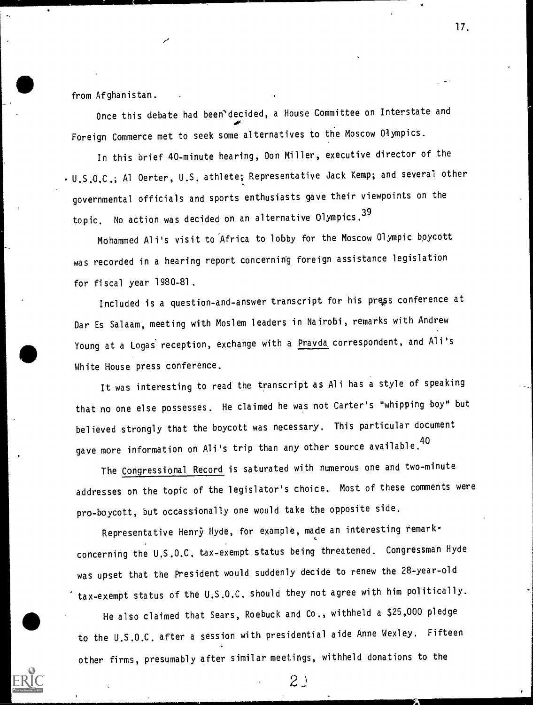from Afghanistan.

Once this debate had been'decided, a House Committee on Interstate and 06. Foreign Commerce met to seek some alternatives to the Moscow Olympics.

17.

In this brief 40-minute hearing, Don Miller, executive director of the U.S.O.C.; Al Oerter, U.S. athlete; Representative Jack Kemp; and several other governmental officials and sports enthusiasts gave their viewpoints on the topic. No action was decided on an alternative Olympics. <sup>39</sup>

Mohammed Ali's visit to 'Africa to lobby for the Moscow Olympic boycott was recorded in a hearing report concerning foreign assistance legislation for fiscal year 1980-81.

Included is a question-and-answer transcript for his press conference at Dar Es Salaam, meeting with Moslem leaders in Nairobi, remarks with Andrew Young at a Logas reception, exchange with a Prayda correspondent, and Ali's White House press conference.

It was interesting to read the transcript as Ali has a style of speaking that no one else possesses. He claimed he was not Carter's "whipping boy" but believed strongly that the boycott was necessary. This particular document gave more information on Ali's trip than any other source available.<sup>40</sup>

The Congressional Record is saturated with numerous one and two-minute addresses on the topic of the legislator's choice. Most of these comments were pro-boycott, but occassionally one would take the opposite side.

Representative Henry Hyde, for example, made an interesting remark. concerning the U.S.O.C. tax-exempt status being threatened. Congressman Hyde was upset that the President would suddenly decide to renew the 28-year-old tax-exempt status of the U.S.O.C. should they not agree with him politically.

He also claimed that Sears, Roebuck and Co., withheld a \$25,000 pledge to the U.S.O.C. after a session with presidential aide Anne Wexley. Fifteen other firms, presumably after similar meetings, withheld donations to the

 $2<sup>0</sup>$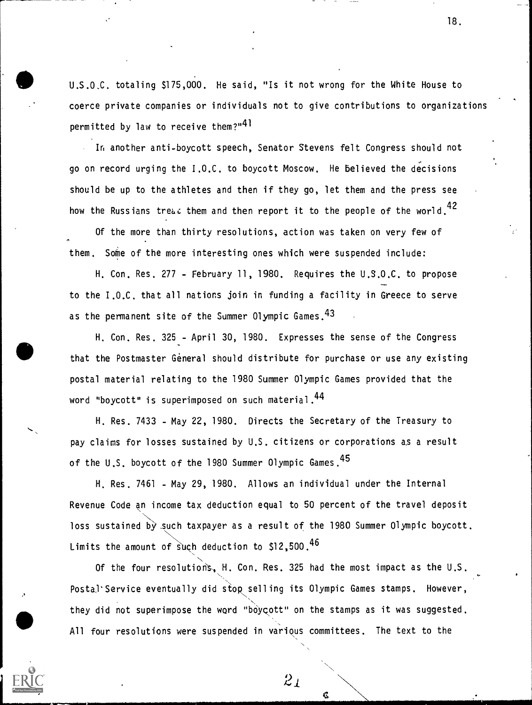U.S.0,C. totaling \$175,000. He said, "Is it not wrong for the White House to coerce private companies or individuals not to give contributions to organizations permitted by law to receive them?"<sup>41</sup>

In another anti-boycott speech, Senator Stevens felt Congress should not go on record urging the I.O.C. to boycott Moscow. He believed the decisions and the state of  $\sim$ should be up to the athletes and then if they go, let them and the press see how the Russians tre $\omega$  them and then report it to the people of the world.<sup>42</sup>

Of the more than thirty resolutions, action was taken on very few of them. Some of the more interesting ones which were suspended include:

H. Con. Res. 277 - February 11, 1980. Requires the U.S.O.C. to propose to the I.O.C. that all nations join in funding a facility in Greece to serve as the permanent site of the Summer Olympic Games. 43

that the Postmaster General should distribute for purchase or use any existing H. Con. Res. 325 - April 30, 1980. Expresses the sense of the Congress postal material relating to the 1980 Summer Olympic Games provided that the word "boycott" is superimposed on such material.44

> H. Res. 7433 - May 22, 1980. Directs the Secretary of the Treasury to pay claims for losses sustained by U.S. citizens or corporations as a result of the U.S. boycott of the 1980 Summer Olympic Games.<sup>45</sup>

H. Res. 7461 - May 29, 1980. Allows an individual under the Internal Revenue Code an income tax deduction equal to 50 percent of the travel deposit loss sustained by such taxpayer as a result of the 1980 Summer Olympic boycott. Limits the amount of such deduction to  $$12,500.46$ 

N Of the four resolutioris,, H. Con. Res. 325 had the most impact as the U.S. Postal'Service eventually did stop selling its Olympic Games stamps. However, they did not superimpose the word "boycott" on the stamps as it was suggested. All four resolutions were suspended in various committees. The text to the

 $2<sub>1</sub>$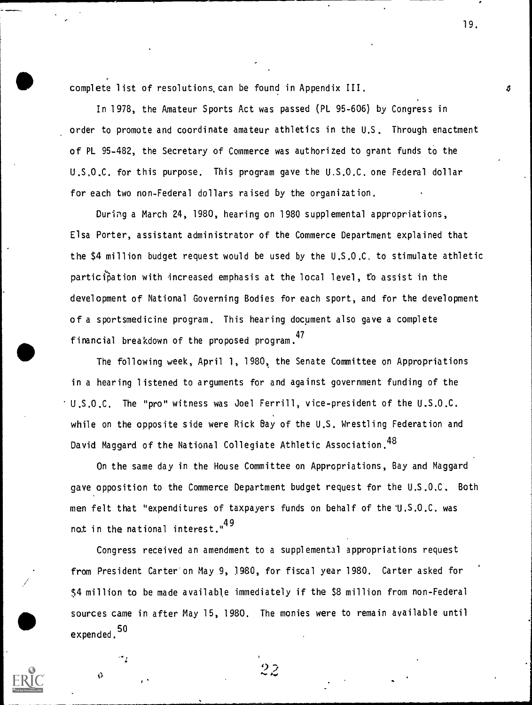complete list of resolutions,can be found in Appendix III.

In 1978, the Amateur Sports Act was passed (PL 95-606) by Congress in order to promote and coordinate amateur athletics in the U.S. Through enactment of PL 95-482, the Secretary of Commerce was authorized to grant funds to the U.S,O.C. for this purpose. This program gave the U.S.O.C. one Federal dollar for each two non-Federal dollars raised by the organization.

During a March 24, 1980, hearing on 1980 supplemental appropriations, Elsa Porter, assistant administrator of the Commerce Department explained that the \$4 million budget request would be used by the U.S.O.C. to stimulate athletic participation with increased emphasis at the local level, to assist in the development of National Governing Bodies for each sport, and for the development of a sportsmedicine program. This hearing document also gave a complete financial breakdown of the proposed program. <sup>47</sup>

The following week, April 1, 1980, the Senate Committee on Appropriations in a hearing listened to arguments for and against government funding of the U.S.O.C. The "pro" witness was Joel Ferrill, vice-president of the U.S.O.C. while on the opposite side were Rick Bay of the U.S. Wrestling Federation and David Maggard of the National Collegiate Athletic Association.<sup>48</sup>

On the same day in the House Committee on Appropriations, Bay and Maggard gave opposition to the Commerce Department budget request for the U.S.0,C. Both men felt that "expenditures of taxpayers funds on behalf of the 1J.S.0.C. was not in the national interest."<sup>49</sup>

Congress received an amendment to a supplemental appropriations request from President Carter'on May 9, 1980, for fiscal year 1980. Carter asked for \$4 million to be made available immediately if the \$8 million from non-Federal sources came in after May 15, 1980. The monies were to remain available until expended. 50

 $2\overline{2}$ 

 $\theta$ 

٠,

19.

A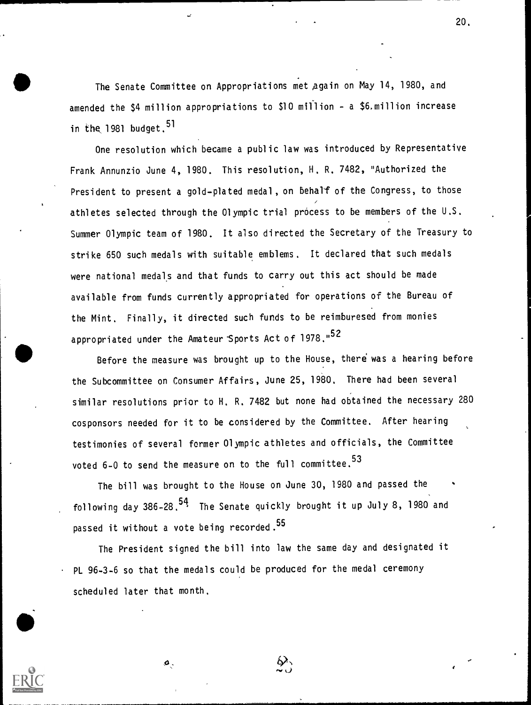The Senate Committee on Appropriations met again on May 14, 1980, and amended the \$4 million appropriations to \$10 miflion - a \$6.mil1ion increase in the 1981 budget.  $51$ 

One resolution which became a public law was introduced by Representative Frank Annunzio June 4, 1980. This resolution, H. R. 7482, "Authorized the President to present a gold-plated medal, on behalf of the Congress, to those athletes selected through the Olympic trial process to be members of the U.S. Summer Olympic team of 1980. It also directed the Secretary of the Treasury to strike 650 such medals with suitable emblems. It declared that such medals were national medals and that funds to carry out this act should be made available from funds currently appropriated for operations of the Bureau of the Mint. Finally, it directed such funds to be reimburesed from monies appropriated under the Amateur Sports Act of 1978."<sup>52</sup>

Before the measure was brought up to the House, there was a hearing before the Subcommittee on Consumer Affairs, June 25, 1980. There had been several similar resolutions prior to H. R. 7482 but none had obtained the necessary 280 cosponsors needed for it to be considered by the Committee. After hearing testimonies of several former Olympic athletes and officials, the Committee voted 6-0 to send the measure on to the full committee.<sup>53</sup>

The bill was brought to the House on June 30, 1980 and passed the following day  $386-28.54$  The Senate quickly brought it up July 8, 1980 and passed it without a vote being recorded.<sup>55</sup>

The President signed the bill into law the same day and designated it PL 96-3-6 so that the medals could be produced for the medal ceremony scheduled later that month.

ø.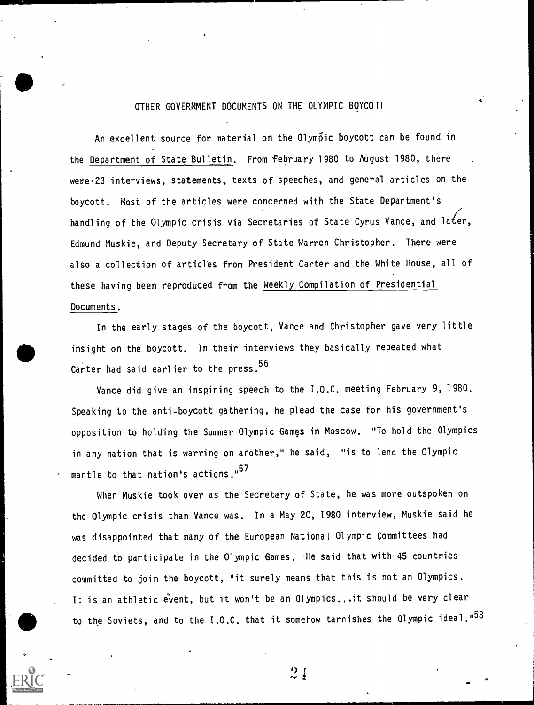### OTHER GOVERNMENT DOCUMENTS ON THE OLYMPIC BOYCOTT

k.

An excellent source for material on the Olym6ic boycott can be found in the Department of State Bulletin. From february 1980 to August 1980, there wete-23 interviews, statements, texts of speeches, and general articles on the boycott. Most of the articles were concerned with the State Department's handling of the Olympic crisis via Secretaries of State Cyrus Vance, and later, Edmund Muskie, and Deputy Secretary of State Warren Christopher. There were also a collection of articles from President Carter and the White House, all of these having been reproduced from the Weekly Compilation of Presidential Documents.

In the early stages of the boycott, Vance and Christopher gave very little insight on the boycott. In their interviews they basically repeated what Carter had said earlier to the press.<sup>56</sup>

Vance did give an inspiring speech to the I.O.C. meeting February 9, 1980. Speaking to the anti-boycott gathering, he plead the case for his government's opposition to holding the Summer Olympic Games in Moscow. "To hold the Olympics in any nation that is warring on another," he said, "is to lend the Olympic mantle to that nation's actions."<sup>57</sup>

When Muskie took over as the Secretary of State, he was more outspoken on the Olympic crisis than Vance was. In a May 20, 1980 interview, Muskie said he was disappointed that many of the European National Olympic Committees had decided to participate in the Olympic Games. He said that with 45 countries committed to join the boycott, "it surely means that this is not an Olympics. I: is an athletic event, but it won't be an Olympics...it should be very clear to the Soviets, and to the I.O.C. that it somehow tarnishes the Olympic ideal."58



 $\frac{1}{2}$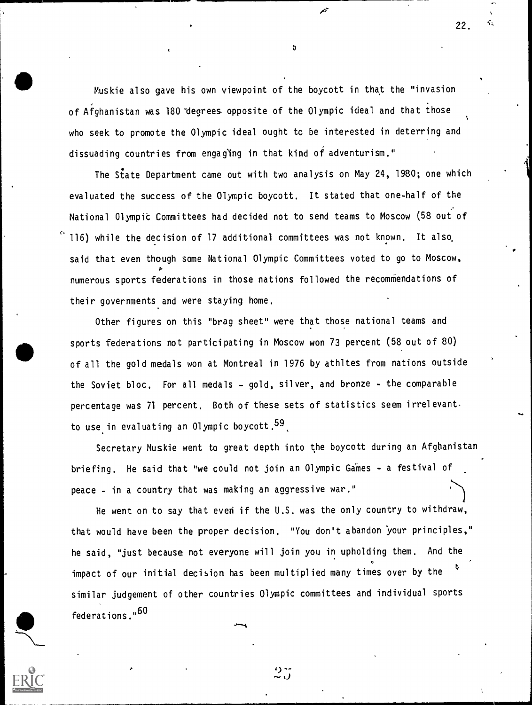Muskie also gave his own viewpoint of the boycott in that the "invasion of Afghanistan was 180 degrees opposite of the Olympic ideal and that those who seek to promote the Olympic ideal ought tc be interested in deterring and dissuading countries from engag'ing in that kind of adventurism."

 $\mathbf{v}$  and  $\mathbf{v}$ 

The State Department came out with two analysis on May 24, 1980; one which evaluated the success of the Olympic boycott. It stated that one-half of the National Olympit Committees had decided not to send teams to Moscow (58 out of 116) while the decision of 17 additional committees was not known. It also said that even though some National Olympic Committees voted to go to Moscow, numerous sports federations in those nations followed the recommendations of their governments and were staying home.

Other figures on this "brag sheet" were that those national teams and sports federations not participating in Moscow won 73 percent (58 out of 80) of all the gold medals won at Montreal in 1976 by athltes from nations outside the Soviet bloc. For all medals - gold, silver, and bronze - the comparable percentage was 71 percent. Both of these sets of statistics seem irrelevant. to use in evaluating an Olympic boycott.<sup>59</sup>.

Secretary Muskie went to great depth into the boycott during an Afghanistan briefing. He said that "we could not join an Olympic Games - a festival of peace - in a country that was making an aggressive war."

He went on to say that even if the U.S. was the only country to withdraw, that would have been the proper decision. "You don't abandon 'your principles," he said, "just because not everyone will join you in upholding them. And the impact of our initial decision has been multiplied many times over by the similar judgement of other countries Olympic committees and individual sports federations."<sup>60</sup>



りご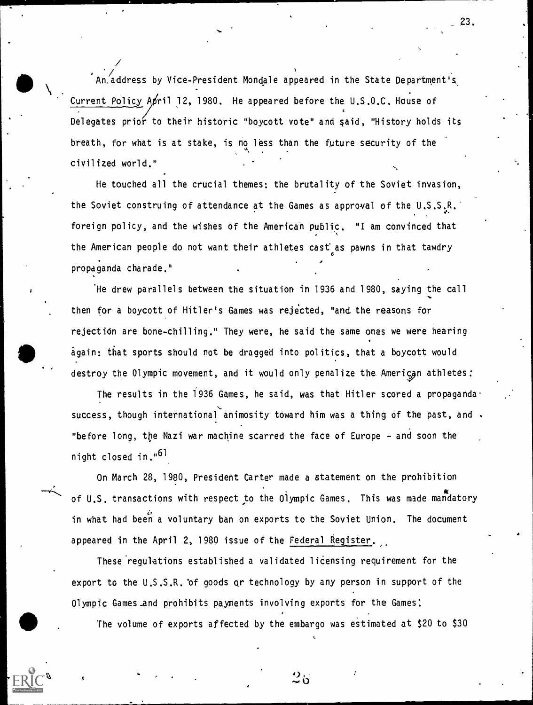An.address by Vice-President Mondale appeared in the State Department's Analysis Current Policy April 12, 1980. He appeared before the U.S.O.C. House of Delegates prior to their historic "boycott vote" and said, "History holds its breath, for what is at stake, is no less than the future security of the civilized world."

...

/

He touched all the crucial themes: the brutality of the Soviet invasion, the Soviet construing of attendance at the Games as approval of the U.S.S.R.' 0. foreign policy, and the wishes of the American public. "I am convinced that the American people do not want their athletes cast as pawns in that tawdry o propaganda charade."

'He drew parallels between the situation, in 1936 and 1980, saying the call then for a boycott of Hitler's Games was rejected, "and the reasons for rejectidn are bone-chilling." They were, he said the same ones we were hearing again: that sports should not be dragged into politics, that a boycott would destroy the Olympic movement, and it would only penalize the American athletes:

The results in the 1936 Games, he said, was that Hitler scored a propaganda  $\cdot$ success, though international animosity toward him was a thing of the past, and . "before long, the Nazi war machine scarred the face of Europe - and soon the night closed in."<sup>61</sup>

On March 28, 1980, President Carter made a statement on the prohibition of U.S. transactions with respect to the Olympic Games. This was made mandatory in what had been a voluntary ban on exports to the Soviet Union. The document appeared in the April 2, 1980 issue of the Federal Register.

These regulations established a validated licensing requirement for the export to the U.S.S.R. 'of goods or technology by any person in support of the Olympic Games and prohibits payments involving exports for the Games!

Organize Games Land promibit<br>The volume of exports The volume of exports affected by the embargo was eStimated at \$20 to \$30



 $25$ 

,

\_23.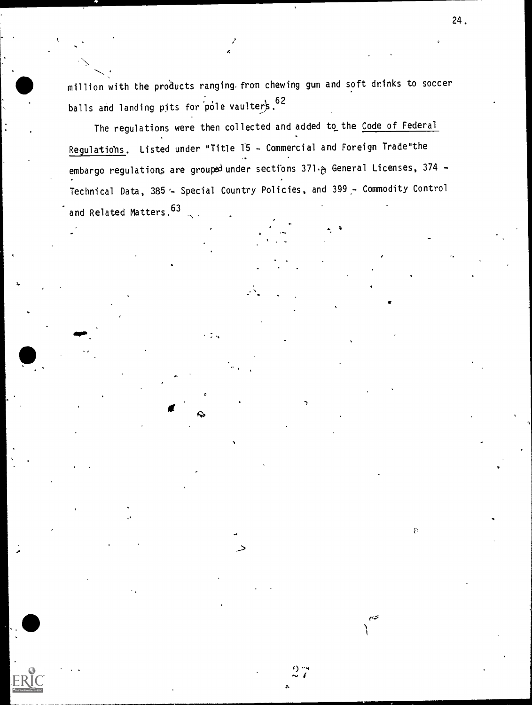million with the products ranging from chewing gum and soft drinks to soccer balls and landing pits for pole vaulters. 62

4

The regulations were then collected and added to the Code of Federal Regulations. Listed under "Title 15 - Commercial and Foreign Trade"the embargo regulations are grouped under sections  $371.$   $\sigma$  General Licenses,  $374$  -Technical Data,  $385 -$  Special Country Policies, and  $399 -$  Commodity Control and Related Matters. 63 2

. .

 $\rightarrow$  and  $\rightarrow$  and  $\rightarrow$ 

 $\frac{9}{27}$  $\blacksquare$ 

n

لتربع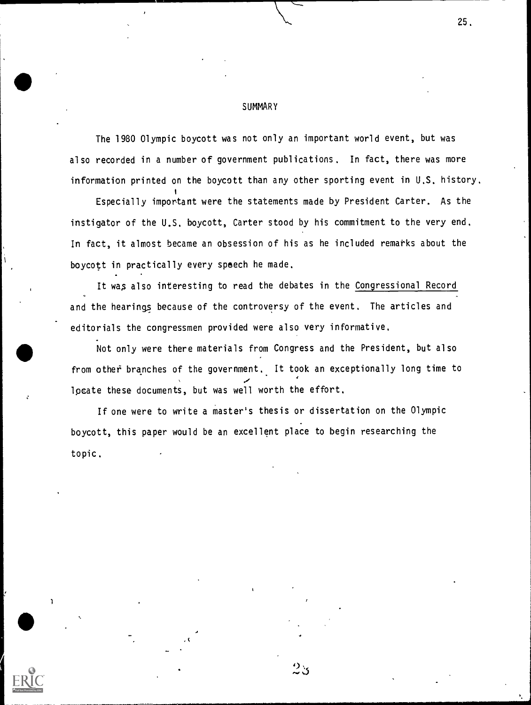#### **SUMMARY**

i

1

The 1980 Olympic boycott was not only an important world event, but was also recorded in a number of government publications. In fact, there was more information printed on the boycott than any other sporting event in U.S. history.

25.

Especially important were the statements made by President Carter. As the instigator of the U.S. boycott, Carter stood by his commitment to the very end. In fact, it almost became an obsession of his as he included remarks about the boycott in practically every speech he made.

It was also interesting to read the debates in the Congressional Record ,. and the hearings because of the controversy of the event. The articles and editorials the congressmen provided were also very informative.

Not only were there materials from Congress and the President, but also from other branches of the government. It took an exceptionally long time to  $\mathcal{L} = \mathcal{L} \times \mathcal{L}$ locate these documents, but was well worth the effort.

If one were to write a master's thesis or dissertation on the Olympic boycott, this paper would be an excellent place to begin researching the topic.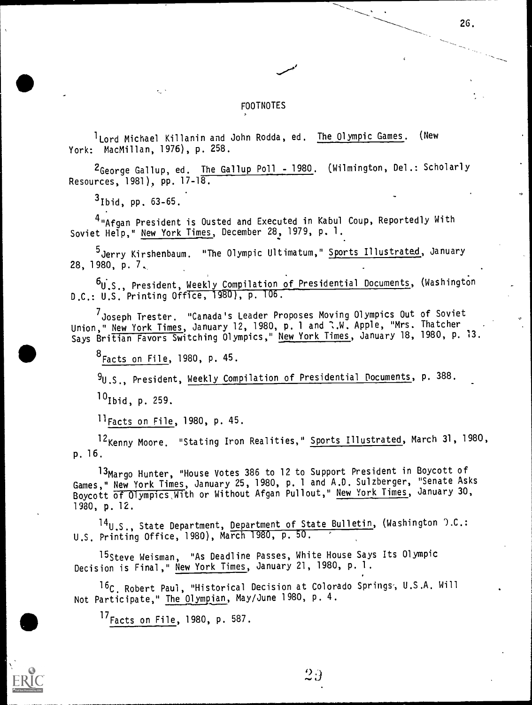### FOOTNOTES

<sup>1</sup> Lord Michael Killanin and John Rodda, ed. The Olympic Games. (New York: MacMillan, 1976), p. 258.

2George Gallup, ed. The Gallup Poll - 1980. (Wilmington, Del.: Scholarly Resources, 1981), pp. 17-18.

 $3$ Ibid, pp. 63-65.

4 "Afgan President is Ousted and Executed in Kabul Coup, Reportedly With Soviet Help," New York Times, December 28, 1979, p. 1.

<sup>5</sup> Jerry Kirshenbaum. "The Olympic Ultimatum," Sports Illustrated, January 28, 1980, p. 7,

<sup>b</sup>u.S., President, <u>Weekly Compilation of Presidential Documents</u>, (Washington Fig. 2014) D.C.: U.S. Printing Office, 1480), p. 106.

<sup>7</sup> Joseph Trester, "Canada's Leader Proposes Moving Olympics Out of Soviet Union," New York Times, January 12, 1980, p. 1 and :.W. Apple, "Mrs. Thatcher . Says Britian Favors Switching Olympics," New York Times, January 18, 1980, p. 13.

 $8$  Facts on File, 1980, p. 45.

9U.S., President, Weekly Compilation of Presidential Documents, p. 388.

 $^{10}$ Ibid, p. 259.

 $11$ Facts on File, 1980, p. 45.

12<sub>Kenny</sub> Moore. "Stating Iron Realities," Sports Illustrated, March 31, 1980, p. 16.

13Margo Hunter, "House Votes 386 to 12 to Support President in Boycott of Games," New York Times, January 25, 1980, p. <sup>1</sup> and A.D. Sulzberger, "Senate Asks Boycott of Olympics, With or Without Afgan Pullout," New York Times, January 30, 1980, p. 12.

14<sub>U.S.</sub>, State Department, Department of State Bulletin, (Washington ).C.: U.S. Printing Office, 1980), March 1980, p. 50.

15Steve Weisman, "As Deadline Passes, White House Says Its Olympic Decision is Final," New York Times, January 21, 1980, p. 1.

<sup>16</sup>C, Robert Paul, "Historical Decision at Colorado Springs, U.S.A. Will \_\_\_\_\_\_\_ Not Participate," <u>The Olympian</u>, May/June 1980, p. 4.

 $^{17}$  Facts on File, 1980, p. 587.



 $2\,$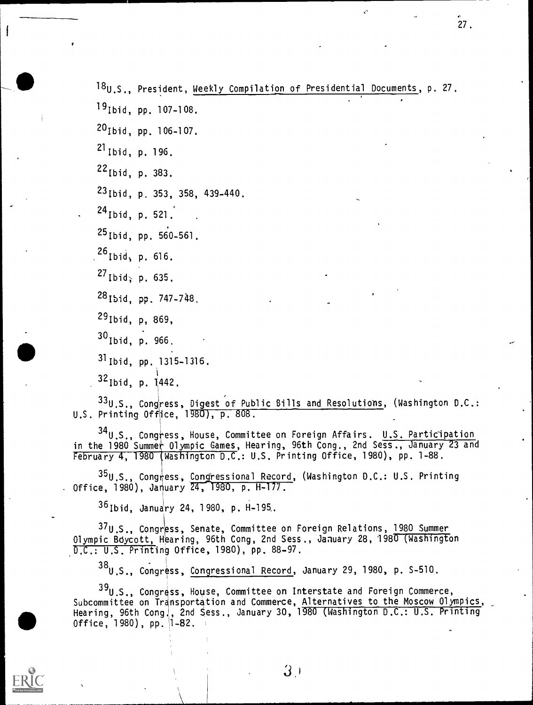18<sub>U.S.</sub>, President, Weekly Compilation of Presidential Documents, p. 27.

19Ibid, pp. 107-108.

20Ibid, pp. 106-107.

21Ib1d, p. 196.

22Ibid, p. 383.

23Ibid, p. 353, 358, 439-440.

 $^{24}$  Ibid, p. 521.

 $25$ Ibid, pp. 560-561.

 $^{26}$ Ibid, p. 616.

<sup>27</sup> Ibid; p. 635.

28<sub>15id, pp. 747-748.</sub>

29Ibid, p, 869,

<sup>30</sup> Ibid, p. 966.

31Ibid, pp. 1315-1316.

<sup>32</sup> Ibid, p. 1442.

33U.S., Congress, Digest of Public Bills and Resolutions, (Washington D.C.: U.S. Printing Office, 1980), p. 808.

 $34$ U.S., Congress, House, Committee on Foreign Affairs. U.S. Participation in the 1980 Summer Olympic Games, Hearing, 96th Cong., 2nd Sess., January 23 and February 4, 1980 (Washington D.C.: U.S. Printing Office, 1980), pp. 1-88.

<sup>35</sup>U.S., Congress, Congressional Record, (Washington D.C.: U.S. Printing . Office, 1980), January 24 , 1980, p. H-177.

35Ib1d, January 24, 1980, p. H-195.

37U.S., Congress, Senate, Committee on Foreign Relations, 1980 Summer Olympic Boycott, Hearing, 96th Cong, 2nd Sess., January 28, 1980 (Washington .D.C.: U.S. Printing Office, 1980), pp. 88-97.

38U.S., Congress, Congressional Record, January 29, 1980, p. S-510.

 $39$ U.S., Congress, House, Committee on Interstate and Foreign Commerce, Subcommittee on Transportation and Commerce, Alternatives to the Moscow Olympics, 0ffice,  $1980$ ), pp.  $1-82$ . Hearing, 96th CongJ, 2nd Sess., January 30, 1980 (Washington D.C.: U.S. Printing



 $3\cdot$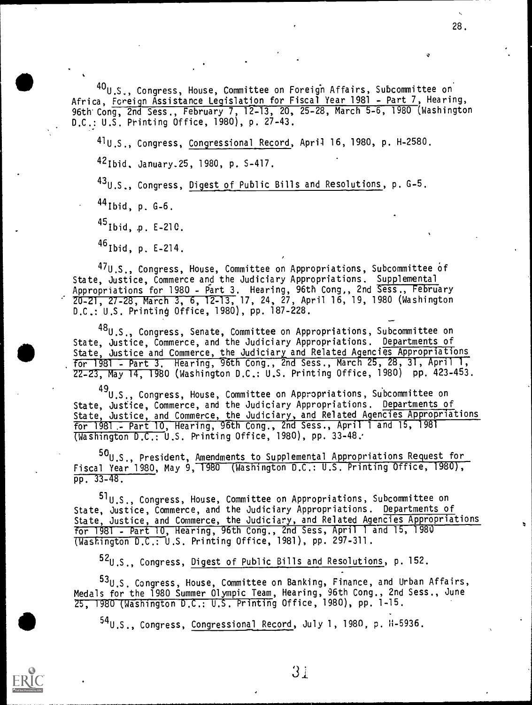$^{40}$ U.S., Congress, House, Committee on Foreign Affairs, Subcommittee on Africa, Foreign Assistance Legislation for Fiscal Year 1981 - Part 7, Hearing, 96th Cong, 2nd Sess., February 7, 12-13, 20, 25-28, March 5-6, 1980 (Washington D.C.: U.S. Printing Office, 1980), p. 27-43.

41.0 .-. , Congress, Congressional Record, April 16, 1980, p. H-2580. 42 Ibid. January. 25, 1980, p. S-417. 43U.S., Congress, Digest of Public Bills and Resolutions, p. G-5.

44Ibid, p. G-6.

45Ibid, E-210.

45Ibid, p. E-214.

 $\mathcal{S}$ 

47U.S., Congress, House, Committee on Appropriations, Subcommittee Of State, Justice, Commerce and the Judiciary Appropriations. Supplemental Appropriations for 1980 - P<u>art 3</u>. Hearing, 96th Cong,, 2nd Sess., February 20-21, 27-28, March 3, 6, 12-13, 17, 24, 27, April 16, 19, 1980 (Washington D.C.: U.S. Printing Office, 1980), pp. 187-228.

48U.S., Congress, Senate, Committee on Appropriations, Subcommittee on State, Justice, Commerce, and the Judiciary Appropriations. Departments of State, Justice and Commerce, the Judiciary and Related Agencies Appropriations for 1981 - Part 3. Hearing, 96th Cong., 2nd Sess., March 25, 28, 31, April 1, 22-27, May 14, 1980 (Washington D.C.: U.S. Printing Office, 1980) pp. 423-453.

<sup>49</sup>U.S., Congress, House, Committee on Appropriations, Subcommittee on State, Justice, Commerce, and the Judiciary Appropriations. Departments of State, Justice, and Commerce, the Judiciary, and Related Agencies Appropriations for 1981 ,- Part 10, Hearing, Ath Cong., 2nd Sess., April 1 and 15, 1981 (Washington D.C.: U.S. Printing Office, 1980), pp. 33-48..

<sup>50</sup>U.S., President, Amendments to Supplemental Appropriations Request for Fiscal Year 1980, May 9, 1980 (Washington D.C.: U.S. Printing Office, 1980), pp. 33-48.

<sup>51</sup> U.S., Congress, House, Committee on Appropriations, Subcommittee on State, Justice, Commerce, and the Judiciary Appropriations. Departments of State, Justice, and Commerce, the Judiciary, and Related Agencies Appropriations for 1981 - Part 10, Hearing, 96th Cong., 2nd Sess, April 1 and 15, 1980 (Washington D.C.: U.S. Printing Office, 1981), pp. 297-311.

<sup>52</sup>U.S., Congress, <u>Digest of Public Bills and Resolutions</u>, p. 152.

<sup>53</sup>U.S. Congress, House, Committee on Banking, Finance, and Urban Affairs, Medals for the 1980 Summer Olympic Team, Hearing, 96th Cong., 2nd Sess., June 25, 1980 (Washington D.C.: U.S. Printing Office, 1980), pp. 1-15.

<sup>54</sup> U.S., Congress, Congressional Record, July 1, 1980, p. 11-5936,



 $3<sub>i</sub>$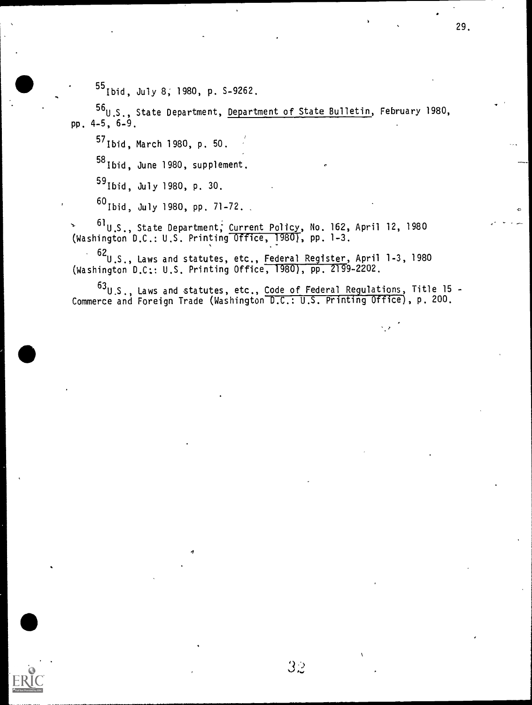<sup>55</sup> Ibid, July 8; 1980, p. S-9262.

<sup>56</sup>U.S., State Department, <u>Department of State Bulletin</u>, February 1980, pp. 4-5, 6-9.

57Ib1d, March 1980, p. 50.

,

58Ibid, June 1980, supplement.

59Ib1d, July 1980, p. 30.

<sup>60</sup> Ibid, July 1980, pp. 71-72.

<sup>> ol</sup>U.S., State Department; Current Policy, No. 162, April 12, 1980 (Washington D.C.: U.S. Printing Office, 1980), pp. 1-3.

<sup>62</sup>U.S., Laws and statutes, etc., Fe<u>deral Register</u>, April 1-3, 1980 (Washington D.C:: U.S. Printing Office, 1980), pp. 2199-2202.

<sup>63</sup>U.S., Laws and statutes, etc., Code of Federal Regulations, Title 15 -Commerce and Foreign Trade (Washington D.C.: U.S. Printing Office), p. 200.

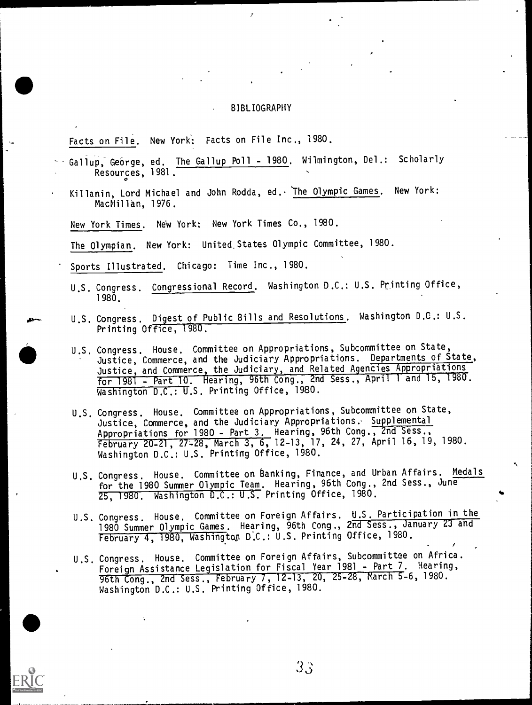#### BIBLIOGRAPHY

Facts on File. New York: Facts on File Inc., 1980.

- Gallup, George, ed. The Gallup Poll 1980. Wilmington, Del.: Scholarly Resources, 1981.  $\circ$   $\qquad$
- Killanin, Lord Michael and John Rodda, ed. 'The Olympic Games. New York: MacMillan, 1976.

New York Times. New York: New York Times Co., 1980.

The Olympian. New York: United.States Olympic Committee, 1980.

Sports Illustrated. Chicago: Time Inc., 1980.

- U.S. Congress. Congressional Record. Washington D.C.: U.S. Printing Office, 1980.
- U.S. Congress. Digest of Public Bills and Resolutions. Washington D.C.: U.S. Printing Office, 1980.
- U.S. Congress. House. Committee on Appropriations, Subcommittee on State, Justice, Commerce, and the Judiciary Appropriations. Departments of State, Justice, and Commerce, the Judiciary, and Related Agencies Appropriations for 1981 - Part 10. Hearing, 96th Cong., 2nd Sess., April <sup>1</sup> and 15, 1980. Washington D.C.: U.S. Printing Office, 1980.
- U.S. Congress. House. Committee on Appropriations, Subcommittee on State, Justice, Commerce, and the Judiciary Appropriations. Supplemental Appropriations for 1980 - Part 3. Hearing, 96th Cong., 2nd Sess., February 20-21, 27-28, March 3, 6, 12-13, 17, 24, 27, April 16, 19, 1980. Washington D.C.: U.S. Printing Office, 1980.
- U.S. Congress. House. Committee on Banking, Finance, and Urban Affairs. Medals for the 1980 Summer Olympic Team. Hearing, 96th Cong., 2nd Sess., June 25, 1980. Washington D.C.: U.S. Printing Office, 1980.
- U.S. Congress. House. Committee on Foreign Affairs. U.S. Participation in the 1980 Summer Olympic Games. Hearing, 96th Cong., 2nd Sess., January 23 and February 4, 1980, Washingtop D.C.: U.S. Printing Office, 1980.
- U.S. Congress. House. Committee on Foreign Affairs, Subcommittee on Africa. Foreign Assistance Legislation for Fiscal Year 1981 - Part 7. Hearing, 96th Cong., 2nd Sess., February 7, 12-13, 26, 25-28, March 5-6, 1980. Washington D.C.: U.S. Printing Office, 1980.

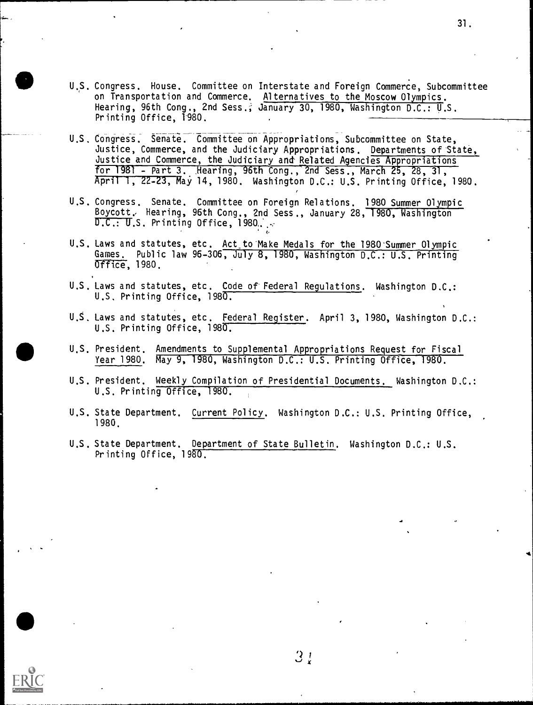- U.S. Congress. House. Committee on Interstate and Foreign Commerce, Subcommittee on Transportation and Commerce. Alternatives to the Moscow Olympics. Hearing, 96th Cong., 2nd Sess.; January 30, 1980, Washington D.C.: U.S. Printing Office, 1980.
- U.S. Congress. Senate. Committee on Appropriations, Subcommittee on State, Justice, Commerce, and the Judiciary Appropriations. Departments of State, Justice and Commerce, the Judiciary and Related Agencies Appropriations for  $1981$  - Part 3. Hearing,  $96th$  Cong.,  $2nd$  Sess., March  $25$ ,  $28$ ,  $31$ , April 1, 22-23, May 14, 1980. Washington D.C.: U.S. Printing Office, 1980.
- U.S. Congress. Senate. Committee on Foreign Relations. 1980 Summer Olympic Boycott, Hearing, 96th Cong., 2nd Sess., January 28, 1980, Washington  $D.C.: U.S.$  Printing Office, 1980,  $\mathcal{L}$

, and the set of  $\mathcal{O}(\mathcal{O}_\mathcal{O})$ 

- U.S. Laws and statutes, etc. Act to Make Medals for the 1980 Summer Olympic Games. Public law 96-306, July 8, 1980, Washington D.C.: U.S. Printing Office, 1980.
- U.S. Laws and statutes, etc. Code of Federal Regulations. Washington D.C.: U.S. Printing Office, 1980.
- U.S. Laws and statutes, etc. Federal Register. April 3, 1980, Washington D.C.: U.S. Printing Office, 1980.
- U.S. President. Amendments to Supplemental Appropriations Request for Fiscal Year 1980. May 9, 1980, Washington D.C.: U.S. Printing Office, 1980.
- U.S. President. Weekly Compilation of Presidential Documents. Washington D.C.: U.S. Printing Office, 1980.
- U.S. State Department. Current Policy. Washington D.C.: U.S. Printing Office, 1980.
- U.S. State Department. Department of State Bulletin. Washington D.C.: U.S. Printing Office, 1980.



 $3:$ 

 $\bullet$ ,

, the contract of the contract of  $\mathbf{31.}$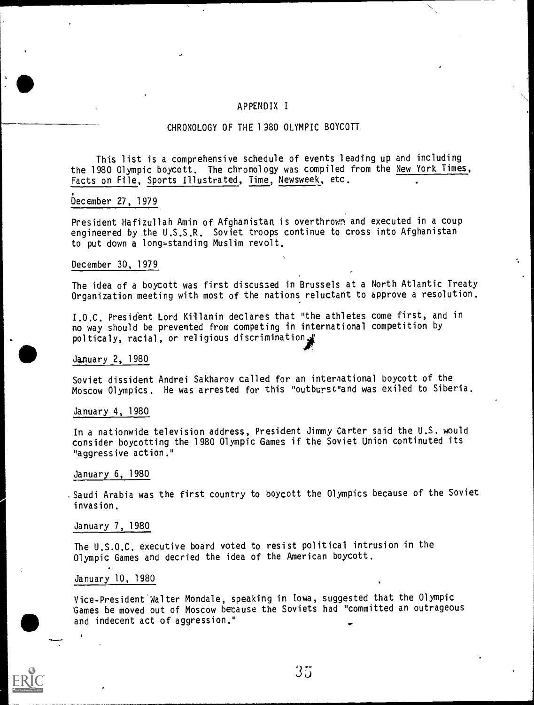#### APPENDIX I

#### CHRONOLOGY OF THE 1380 OLYMPIC BOYCOTT

This list is a comprehensive schedule of events leading up and including the 1980 Olympic boycott. The chronology was compiled from the New York Times, Facts on File, Sports Illustrated, Time, Newsweek, etc.

#### December 27, 1979

President Hafizullah Amin of Afghanistan is overthrown and executed in a coup engineered by the U.S.S.R. Soviet troops continue to cross into Afghanistan to put down a long-standing Muslim revolt.

#### December 30, 1979

The idea of a boycott was first discussed in Brussels at a North Atlantic Treaty Organization meeting with most of the nations reluctant to approve a resolution.

I.O.C. President Lord Killanin declares that "the athletes come first, and in no way should be prevented from competing in international competition by polticaly, racial, or religious discrimination

#### January 2, 1980

Soviet dissident Andrei Sakharov called for an international boycott of the Moscow Olympics. He was arrested for this "outbursc"and was exiled to Siberia.

### January 4, 1980

In a nationwide television address, President Jimmy Carter said the U.S. would consider boycotting the 1980 Olympic Games if the Soviet Union continuted its "aggressive action."

#### January 6, 1980

Saudi Arabia was the first country to boycott the Olympics because of the Soviet invasion.

#### January 7, 1980

The U.S.O.C. executive board voted to resist political intrusion in the Olympic Games and decried the idea of the American boycott.

#### January 10, 1980

Vice-President Walter Mondale, speaking in Iowa, suggested that the Olympic 'Games be moved out of Moscow betause the Soviets had "committed an outrageous and indecent act of aggression."

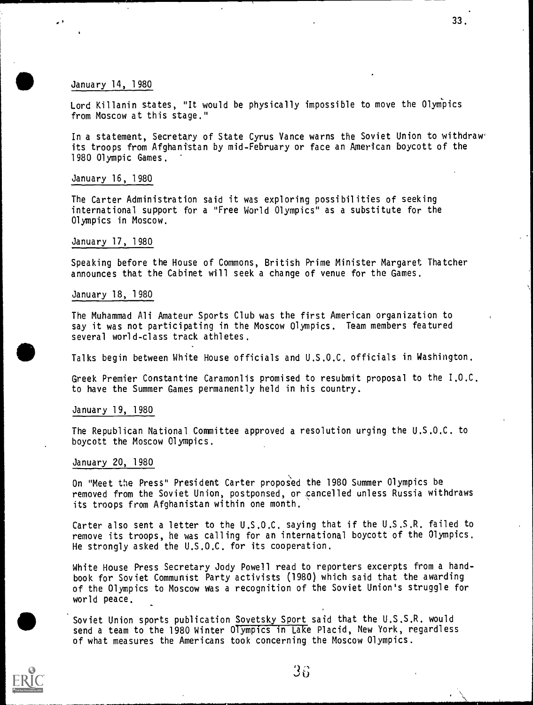January 14, 1980

Lord Killanin states, "It would be physically impossible to move the Olympics from Moscow at this stage."

In a statement, Secretary of State Cyrus Vance warns the Soviet Union to withdraw its troops from Afghanistan by mid-February or face an American boycott of the 1980 Olympic Games.

#### January 16, 1980

The Carter Administration said it was exploring possibilities of seeking international support for a "Free World Olympics" as a substitute for the Olympics in Moscow.

#### January 17, 1980

Speaking before the House of Commons, British Prime Minister Margaret Thatcher announces that the Cabinet will seek a change of venue for the Games.

#### January 18, 1980

The Muhammad Ali Amateur Sports Club was the first American organization to say it was not participating in the Moscow Olympics. Team members featured several world-class track athletes.

Talks begin between White House officials and U.S.O.C. officials in Washington.

Greek Premier Constantine Caramonlis promised to resubmit proposal to the I.O.C. to have the Summer Games permanently held in his country.

#### January 19, 1980

The Republican National Committee approved a resolution urging the U.S.O.C. to boycott the Moscow Olympics.

#### January 20, 1980

On "Meet the Press" President Carter proposed the 1980 Summer Olympics be removed from the Soviet Union, postponsed, or .cancelled unless Russia withdraws its troops from Afghanistan within one month.

Carter also sent a letter to the U.S.O.C. saying that if the U.S.S.R. failed to remove its troops, he was calling for an international boycott of the Olympics. He strongly asked the U.S.O.C. for its cooperation.

White House Press Secretary Jody Powell read to reporters excerpts from a handbook for Soviet Communist Party activists (1980) which said that the awarding of the Olympics to Moscow was a recognition of the Soviet Union's struggle for world peace.

 $\bullet$ Soviet Union sports publication Sovetsky Sport said that the U.S.S.R. would send a team to the 1980 Winter Olympics in Lake Placid, New York, regardless of what measures the Americans took concerning the Moscow Olympics.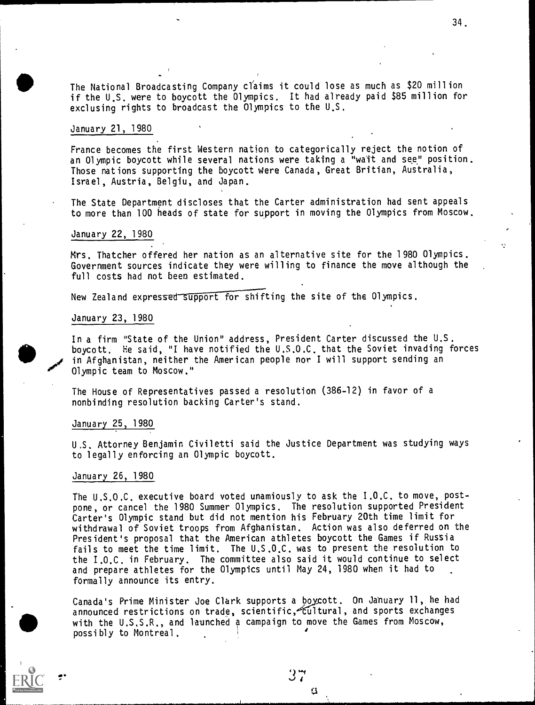The National Broadcasting Company cl'aims it could lose as much as \$20 million if the U.S. were to boycott the Olympics. It had already paid \$85 million for exclusing rights to broadcast the Olympics to the U.S.

#### January 21, 1980

France becomes the first Western nation to categorically reject the notion of an Olympic boycott while several nations were taking a "wait and see" position. Those nations supporting the boycott Were Canada, Great Britian, Australia, Israel, Austria, Belgiu, and Japan.

The State Department discloses that the Carter administration had sent appeals to more than 100 heads of state for support in moving the Olympics from Moscow.

#### January 22, 1980

Mrs. Thatcher offered her nation as an alternative site for the 1980 Olympics. Government sources indicate they were willing to finance the move although the full costs had not been estimated.

New Zealand expressed support for shifting the site of the Olympics.

#### January 23, 1980

In a firm "State of the Union" address, President Carter discussed the U.S. boycott. He said, "1 have notified the U.S.O.C. that the Soviet invading forces in Afghanistan, neither the American people nor I will support sending an Olympic team to Moscow."

The House of Representatives passed a resolution (386-12) in favor of a nonbinding resolution backing Carter's stand.

#### January 25, 1980

U.S. Attorney Benjamin Civiletti said the Justice Department was studying ways to legally enforcing an Olympic boycott.

#### January 26, 1980

di\*

The U.S.O.C. executive board voted unamiously to ask the I.O.C. to move, postpone, or cancel the 1980 Summer Olympics. The resolution supported President Carter's Olympic stand but did not mention his February 20th time limit for withdrawal of Soviet troops from Afghanistan. Action was also deferred on the President's proposal that the American athletes boycott the Games if Russia fails to meet the time limit. The U.S.O.C. was to present the resolution to the I.O.C. in February. The committee also said it would continue to select and prepare athletes for the Olympics until May 24, 1980 when it had to formally announce its entry.

Canada's Prime Minister Joe Clark supports a boycott. On January 11, he had announced restrictions on trade, scientific, cultural, and sports exchanges with the U.S.S.R., and launched a campaign to move the Games from Moscow, possibly to Montreal.

37

a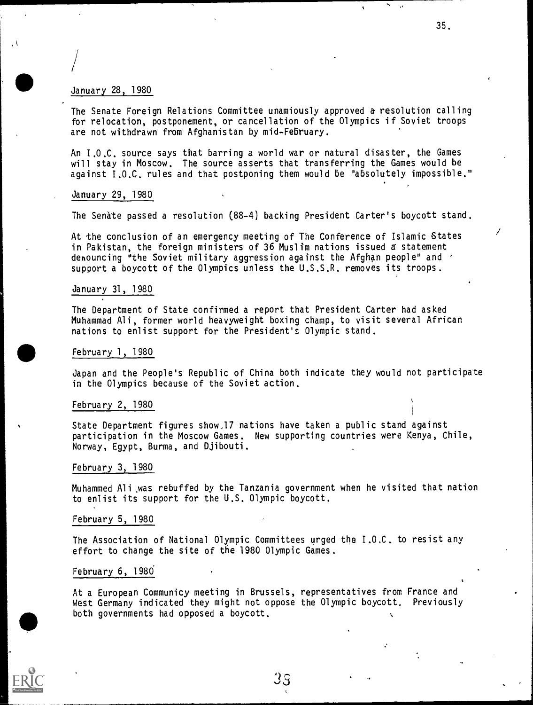#### January 28, 1980

/

The Senate Foreign Relations Committee unamiously approved a resolution calling for relocation, postponement, or cancellation of the Olympics if Soviet troops are not withdrawn from Afghanistan by mid-February.

35.

I

An I.O.C. source says that barring a world war or natural disaster, the Games will stay in Moscow. The source asserts that transferring the Games would be against I.O.C. rules and that postponing them would be "absolutely impossible."

#### January 29, 1980

The Senate passed a resolution (88-4) backing President Carter's boycott stand.

At the conclusion of an emergency meeting of The Conference of Islamic 6tates in Pakistan, the foreign ministers of 36 Muslim nations issued a statement denouncing "the Soviet military aggression against the Afghan people" and support a boycott of the Olympics unless the U.S.S.R. removes its troops.

#### January 31, 1980

The Department of State confirmed a report that President Carter had asked Muhammad Ali, former world heavyweight boxing champ, to visit several African nations to enlist support for the President's Olympic stand.

#### February 1\_, 1980

Japan and the People's Republic of China both indicate they would not participate in the Olympics because of the Soviet action.

#### February 2, 1980

State Department figures show,17 nations have taken a public stand against participation in the Moscow Games. New supporting countries were Kenya, Chile, Norway, Egypt, Burma, and Djibouti.

#### February 3, 1980

Muhammed Ali wes rebuffed by the Tanzania government when he visited that nation to enlist its support for the U.S. Olympic boycott.

#### February 5, 1980

The Association of National Olympic Committees urged the I.O.C. to resist any effort to change the site of the 1980 Olympic Games.

#### February 6, 1986

At a European Communicy meeting in Brussels, representatives from France and West Germany indicated they might not oppose the Olympic boycott, Previously both governments had opposed a boycott.

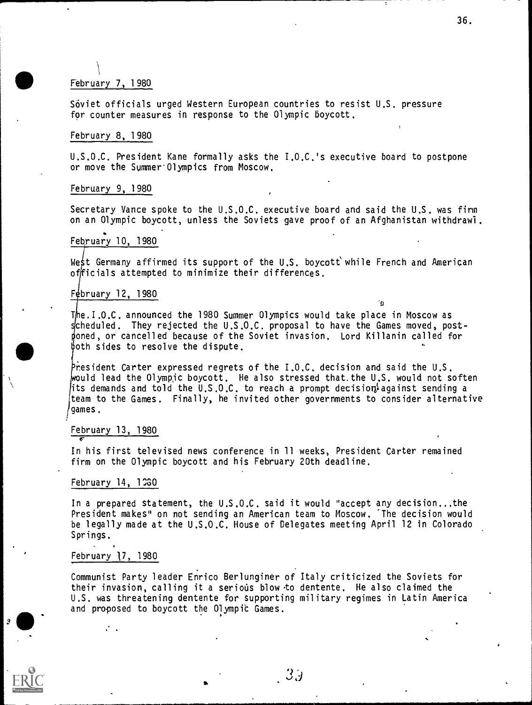### February 7, 1980

Soviet officials urged Western European countries to resist U.S. pressure for counter measures in response to the Olympic boycott.

### February 8, 1980

U.S.O.C. President Kane formally asks the I.O.C.'s executive board to postpone or move the Summer<sup>ol</sup>ympics from Moscow.

#### February 9, 1980

Secretary Vance spoke to the U.S.O.C. executive board and said the U.S. was firm on an Olympic boycott, unless the Soviets gave proof of an Afghanistan withdrawl.

#### February 10, 1980

West Germany affirmed its support of the U.S. boycott while French and American offricials attempted to minimize their differences.

 $\mathbf{a}$ 

#### Fébruary 12, 1980

The.I.O.C. announced the 1980 Summer Olympics would take place in Moscow as scheduled. They rejected the U.S.O.C. proposal to have the Games moved, postdoned, or cancelled because of the Soviet invasion. Lord Killanin called for  $both$  sides to resolve the dispute.

President Carter expressed regrets of the  $I.0.C.$  decision and said the U.S. uld lead the Olympjc boycott. He also stressed that.the U.S. would not soften its demands and told the U.S.O.C. to reach a prompt decision against sending a team to the Games. Finally, he invited other governments to consider alternative games.

#### February 13, 1980

In his first televised news conference in 11 weeks, President Carter remained firm on the Olympic boycott and his February 20th deadline.

#### February 14, 130

In a prepared statement, the U.S.O.C. said it would "accept any decision...the President makes" on not sending an American team to Moscow. 'The decision would be legally made at the U.S.O.C. House of Delegates meeting April 12 in Colorado Springs.

#### February 17, 1980

Communist Party leader Enrico Berlunginer of Italy criticized the Soviets for their invasion, calling it a serious blow to dentente. He also claimed the U.S. was threatening dentente for Supporting military regimes in Latin America and proposed to boycott the Olympic Games.



2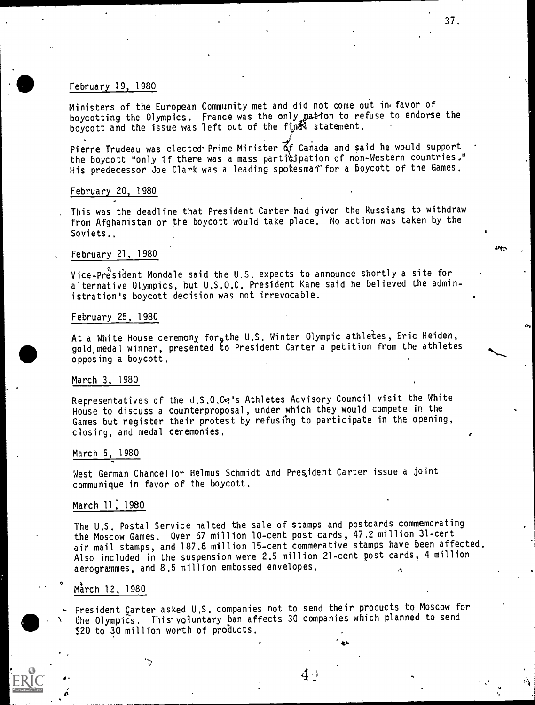### February 19, 1980

Ministers of the European Community met and did not come out in, favor of boycotting the Olympics. France was the only pation to refuse to endorse the boycott and the issue was left out of the final statement. Fig. 1

Pierre Trudeau was elected Prime Minister of Canada and said he would support the boycott "only if there was a mass participation of non-Western countries." His predecessor Joe Clark was a leading spokesman for a boycott of the Games.

#### February 20, 1980'

This was the deadline that President Carter had given the Russians to withdraw from Afghanistan or the boycott would take place. No action was taken by the Soviets.,

#### February 21, 1980

Vice-President Mondale said the U.S. expects to announce shortly a site for alternative Olympics, hut U.S.O.C. President Kane said he believed the administration's boycott decision was not irrevocable.

#### February 25, 1980

At a White House ceremony for, the U.S. Winter Olympic athletes, Eric Heiden, gold, medal winner, presented to President Carter a petition from the athletes opposing a boycott.

#### March 3, 1980

Representatives of the d.S.O.Ce's Athletes Advisory Council visit the White House to discuss a counterproposal, under which they would compete in the Games but register their protest by refusing to participate in the opening, closing, and medal ceremonies.

#### March 5, 1980

West German Chancellor Helmus Schmidt and President Carter issue a joint communique in favor of the boycott.

#### March 11, 1980

The U.S. Postal Service halted the sale of stamps and postcards commemorating the Moscow Games. Over 67 million 10-cent post cards, 47.2 million 31-cent air mail stamps, and 187.6 million 15-cent commerative stamps have been affected. Also included in the suspension were 2.5 million 21-cent post cards, 4 million aerogrammes, and 8.5 million embossed envelopes.

## $^{\circ}$  March 12, 1980

٠.,

President Çarter asked U.S. companies not to send their products to Moscow for the Olympics. This voluntary ban affects 30 companies which planned to send \$20 to 30 million worth of products.

 $4$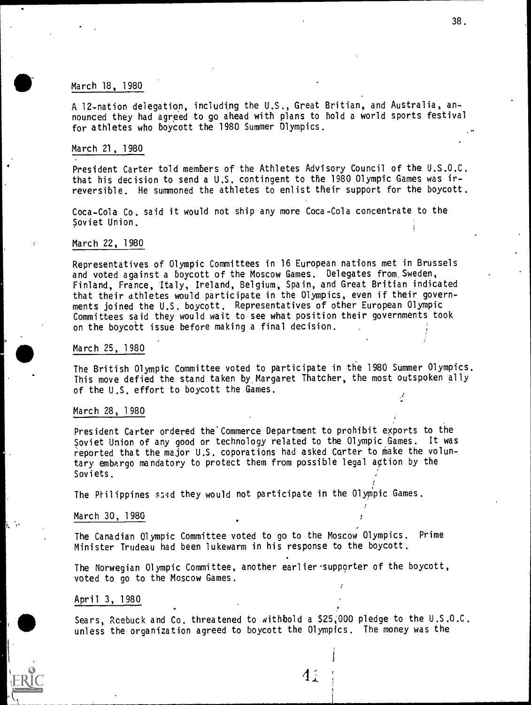### March 18, 1980

A 12-nation delegation, including the U.S., Great Britian, and Australia, announced they had agreed to go ahead with plans to hold a world sports festival for athletes who boycott the 1980 Summer Olympics.

#### March 21, 1980

President Carter told members of the Athletes Advisory Council of the U.S.O.C. that his decision to send a U.S. contingent to the 1980 Olympic Games was irreversible. He summoned the athletes to enlist their support for the boycott.

Coca-Cola Co. said it would not ship any more Coca-Cola concentrate to the Soviet Union.

#### March 22, 1980

Representatives of Olympic Committees in 16 European nations met in Brussels and voted against a boycott of the Moscow Games. Delegates from.Sweden, Finland, France, Italy, Ireland, Belgium, Spain, and Great Britian indicated that their athletes would participate in the Olympics, even if their governments joined the U.S. boycott. Representatives of other European Olympic Committees said they would wait to see what position their governments took on the boycoit issue before making a final decision.

#### March 25, 1980

The British Olympic Committee voted to participate in the 1980 Summer Olympics. This move defied the stand taken by,Margaret Thatcher, the most outspoken ally of the U.S. effort to boycott the Games.

#### March 28, 1980

President Carter ordered the Commerce Department to prohibit exports to the Soviet Union of any good or technology related to the Olympic Games. It was reported that the major U.S. coporations had asked Corter to make the voluntary embargo mandatory to protect them from possible legal action by the Soviets.

The Prilippines sand they would not participate in the Olympic Games.

#### March 30, 1980

The Canadian Olympic Committee voted to go to the Moscow Olympics. Prime Minister Trudeau had been lukewarm in his response to the boycott.

The Norwegian Olympic Committee, another earlier-supporter of the boycott, voted to go to the Moscow Games.

#### April 3, 1980

Sears, Roebuck and Co. threatened to withbold a \$25,000 pledge to the U.S.O.C. unless the organization agreed to boycott the Olympics. The money was the

38.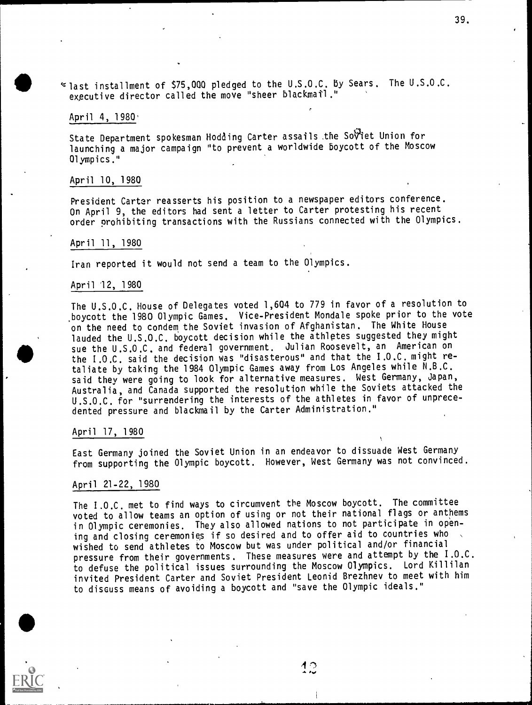$\le$  last installment of \$75,000 pledged to the U.S.O.C. By Sears. The U.S.O.C. expcutive director called the move "sheer blackmatl."

#### April 4, 1980.

State Department spokesman Nodding Carter assails.the SoViet Union for launching a major campaign "to prevent a worldwide boycott of the Moscow Olympics."

#### April 10, 1980

President Carter reasserts his position to a newspaper editors conference. On April 9, the editors had sent a letter to Carter protesting his recent order prohibiting transactions with the Russians connected with the Olympics.

#### April 11, 1980

Iran reported it would not send a team to the Olympics.

#### April 12, 1980

The U.S.O.C. House of Delegates voted 1,604 to 779 in favor of a resolution to boycott the 1980 Olympic Games. Vice-President Mondale spoke prior to the vote on the need to condem. the Soviet invasion of Afghanistan. The White House lauded the U.S.O.C. boycott decision while the athletes suggested they might sue the U.S.O.C. and federal government. Julian Roosevelt, an American on the I.O.C. said the decision was "disasterous" and that the I.O.C. might retaliate by taking the 1984 Olympic Games away from Los Angeles while N.B.C. said they were going to look for alternative measures. West Germany, Japan, Australia, and Canada supported the resolution while the Soviets attacked the U.S.O.C. for "surrendering the interests of the athletes in favor of unprecedented pressure and blackmail by the Carter Administration."

#### April 17, 1980

East Germany joined the Soviet Union in an endeavor to dissuade West Germany from supporting the Olympic boycott. However, West Germany was not convinced.

#### April 21-22, 1980

The I.O.C. met to find ways to circumvent the Moscow boycott. The committee voted to allow teams an option of using or not their national flags or anthems in Olympic ceremonies. They also allowed nations to not participate in opening and closing ceremonies if so desired and to offer aid to countries who wished to send athletes to Moscow but was under political and/or financial pressure from their governments. These measures were and attempt by the I.O.C. to defuse the political issues surrounding the Moscow Olympics. Lord Killilan invited President Carter and Soviet President Leonid Brezhnev to meet with him to discuss means of avoiding a boycott and "save the Olympic ideals."

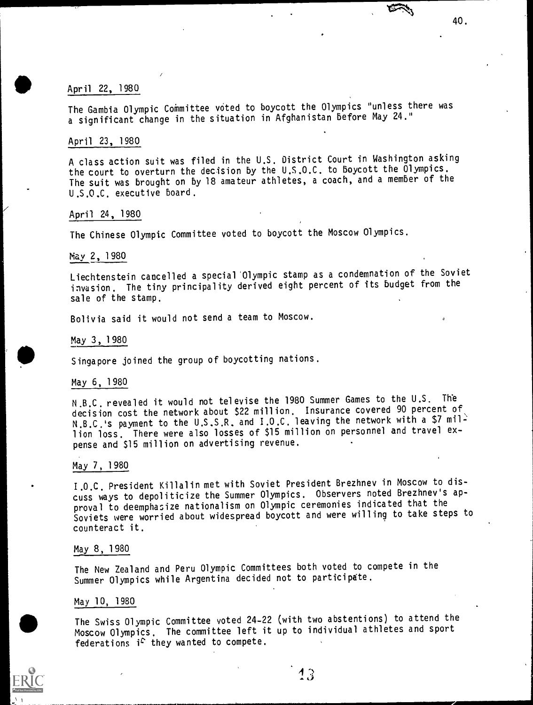### April 22, 1980

The Gambia Olympic Committee voted to boycott the Olympics "unless there was a significant change in the situation in Afghanistan before May 24."

40.

### April 23, 1980

A class action suit was filed in the U.S. District Court in Washington asking the court to overturn the decision by the U.S.O.C. to boycott the Olympics. The suit was brought on by 18 amateur athletes, a coach, and a member of the U.S.O.C. executive board.

### April 24, 1980

The Chinese Olympic Committee voted to boycott the Moscow Olympics.

### May 2, 1980

Liechtenstein cancelled a special 'Olympic stamp as a condemnation of the Soviet invasion. The tiny principality derived eight percent of its budget from the sale of the stamp.

Bolivia said it would not send a team to Moscow.

/

#### May 3, 1980

Singapore joined the group of boycotting nations.

#### May 6, 1980

N.B.C. revealed it would not televise the 1980 Summer Games to the U.S. The decision cost the network about \$22 million. Insurance covered 90 percent of N.B.C.'s payment to the U.S.S.R. and I.O.C. leaving the network with a \$7 million loss. There were also losses of \$15 million on personnel and travel expense and \$15 million on advertising revenue.

### May 7, 1980

I.O.C. President Killalin met with Soviet President Brezhnev in Moscow to discuss ways to depoliticize the Summer Olympics. Observers noted Brezhnev's approval to deemphasize nationalism on Olympic ceremonies indicated that the Soviets were worried about widespread boycott and were willing to take steps to counteract it.

### May 8, 1980

The New Zealand and Peru Olympic Committees both voted to compete in the Summer Olympics while Argentina decided not to participate.

### May 10, 1980

The Swiss Olympic Committee voted 24-22 (with two abstentions) to attend the Moscow Olympics. The committee left it up to individual athletes and sport federations  $i^c$  they wanted to compete.

13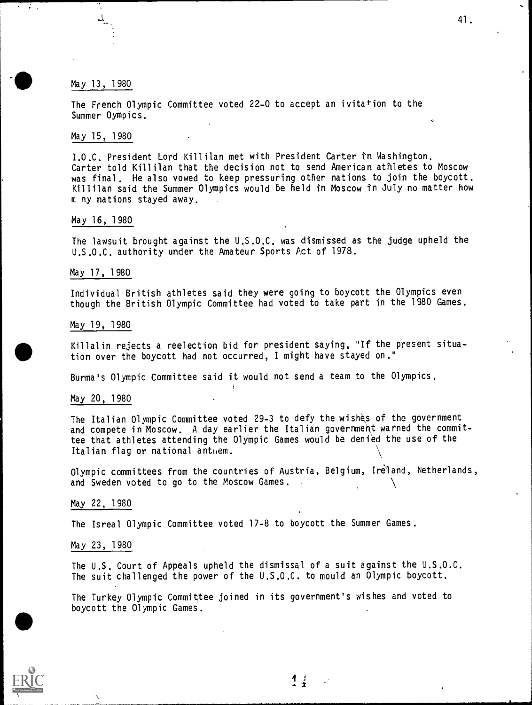### May 13, 1 980

 $\ddot{\cdot}$  .

The French Olympic Committee voted 22-0 to accept an ivitation to the Summer Oympics.

### May 15, 1980

I.O.C. President Lord Killilan met with President Carter in Washington. Carter told Killilan that the decision not to send American athletes to Moscow was final. He also vowed to keep pressuring other nations to join the boycott. Killilan said the Summer Olympics would be held in Moscow fn July no matter how m ny nations stayed away.

### May 16, 1980

The lawsuit brought against the U.S.O.C. was dismissed as the judge upheld the U.S.O.C. authority under the Amateur Sports Act of 1978.

#### May 17, 1980

Individual British athletes said they were going to boycott the Olympics even though the British Olympic Committee had voted to take part in the 1980 Games.

#### May 19, 1980

Killalin rejects a reelection bid for president saying, "If the present situation over the boycott had not occurred, I might have stayed on."

Burma's Olympic Committee said it would not send a team to the Olympics.

**I** 

May 20, 1980

The Italian Olympic Committee voted 29-3 to defy the wishes of the government and compete in Moscow. A day earlier the Italian government warned the committee that athletes attending the Olympic Games would be denied the use of the Italian flag or national anthem.

Olympic committees from the countries of Austria, Belgium, Ireland, Netherlands, and Sweden voted to go to the Moscow Games.

### May 22, 1980

The Isreal Olympic Committee voted 17-8 to boycott the Summer Games.

#### May 23, 1980

The U.S. Court of Appeals upheld the dismissal of a suit against the U.S.O.C. The suit challenged the power of the U.S.O.C. to mould an Olympic boycott.

The Turkey Olympic Committee joined in its government's wishes and voted to boycott the Olympic Games.



 $\frac{1}{4}$  1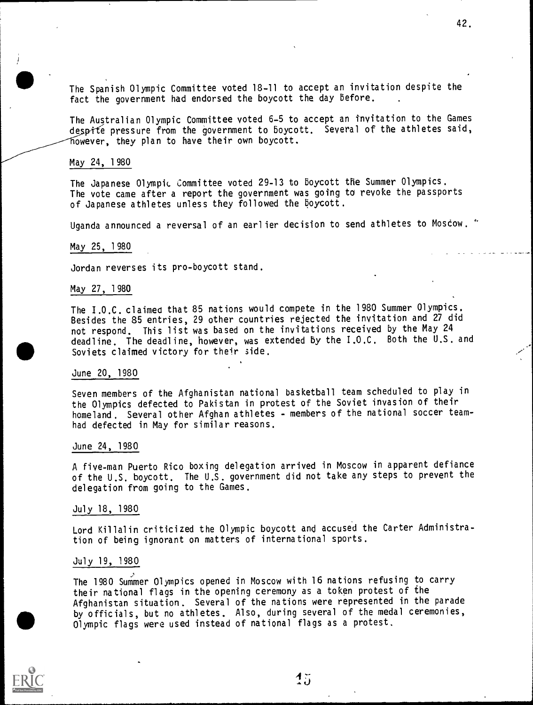The Spanish Olympic Committee voted 18-11 to accept an invitation despite the fact the government had endorsed the boycott the day before.

42.

The Australian Olympic Committee voted 6-5 to accept an invitation to the Games despite pressure from the government to boycott. Several of the athletes said, however, they plan to have their own boycott.

#### May 24, 1980

The Japanese Olympic Committee voted 29-13 to boycott the Summer Olympics. The vote came after a report the government was going to revoke the passports of Japanese athletes unless they followed the boycott.

Uganda announced a reversal of an earlier decision to send athletes to Moscow. "

#### May 25, 1980

Jordan reverses its pro-boycott stand.

#### May 27, 1980

The I.O.C. claimed that 85 nations would compete in the 1980 Summer Olympics. Besides the 85 entries, 29 other countries rejected the invitation and 27 did not respond. This list was based on the invitations received by the May 24 deadline. The deadline, however, was extended by the 1.0.C. Both the U.S. and Soviets claimed victory for their side.

#### June 20, 1980

Seven members of the Afghanistan national basketball team scheduled to play in the Olympics defected to Pakistan in protest of the Soviet invasion of their homeland. Several other Afghan athletes - members of the national soccer teamhad defected in May for similar reasons.

#### June 24, 1980

A five-man Puerto Rico boxing delegation arrived in Moscow in apparent defiance of the U.S. boycott. The U.S. government did not take any steps to prevent the delegation from going to the Games.

#### July 18, 1980

Lord Killalin criticized the Olympic boycott and accused the Carter Administration of being ignorant on matters of international sports.

#### July 19, 1980

The 1980 Summer Olympics opened in Moscow with 16 nations refusing to carry their mational flags in the opening ceremony as a token protest of the Afghanistan situation. Several of the nations were represented in the parade by officials, but no athletes. Also, during several of the medal ceremonies, Olympic flags were used instead of national flags as a protest.

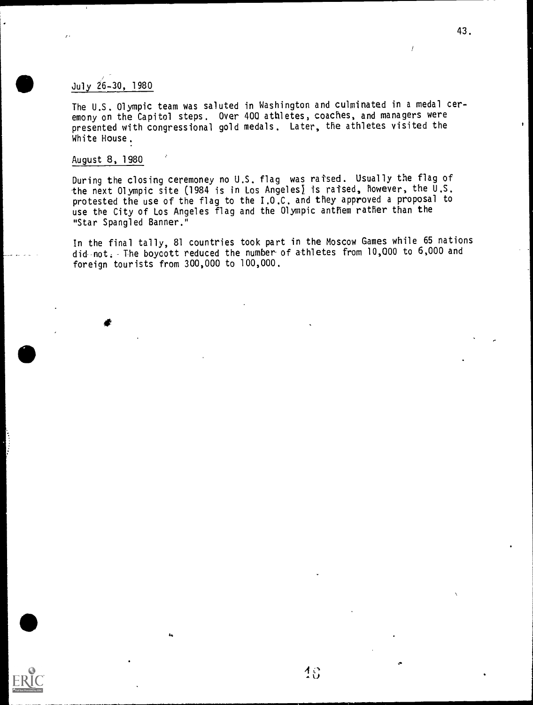## July 26-30, 1980

The U.S. Olympic team was saluted in Washington and culminated in a medal ceremony on the Capitol steps. Over 400 athletes, coaches, and managers were presented with congressional gold medals. Later, the athletes visited the White House.

### August 8, 1980

During the closing ceremoney no U.S. flag was raised. Usually the flag of the next Olympic site (1984 is in Los Angeles) is raised, however, the  $\overline{U}.S$ . protested the use of the flag to the I.O.C. and they approved a proposal to use the City of Los Angeles flag and the Olympic anthem rather than the "Star Spangled Banner."

In the final tally, 81 countries took part in the Moscow Games while 65 nations did-not. The boycott reduced the number of athletes from 10,000 to 6,000 and foreign tourists from 300,000 to 100,000.



/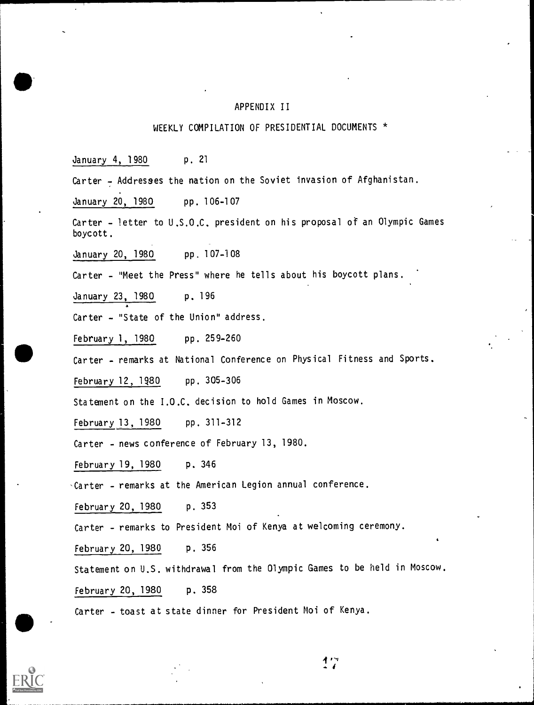### APPENDIX II

### WEEKLY COMPILATION OF PRESIDENTIAL DOCUMENTS \*

January 4, 1980 p. 21

Carter - Addresses the nation on the Soviet invasion of Afghanistan.

January 20, 1980 pp. 106-107

Carter - letter to U.S.O.C. president on his proposal of an Olympic Games boycott.

January 20, 1980 pp. 107-108

Carter - "Meet the Press" where he tells about his boycott plans.

January 23, 1980 p. 196

Carter - "State of the Union" address.

February 1, 1980 pp. 259-260

Carter - remarks at National Conference on Physical Fitness and Sports.

February 12, 1980 pp. 305-306

Statement on the I.O.C. decision to hold Games in Moscow.

February 13, 1980 pp. 311-312

Carter - news conference of February 13, 1980.

February 19, 1980 p. 346

-Carter - remarks at the American Legion annual conference.

February 20, 1980 p. 353

Carter - remarks to President Moi of Kenya at welcoming ceremony.

February 20, 1980 p. 356

Statement on U.S. withdrawal from the Olympic Games to be held in Moscow.

February 20, 1980 p. 358

Carter - toast at state dinner for President Moi of Kenya.



イワ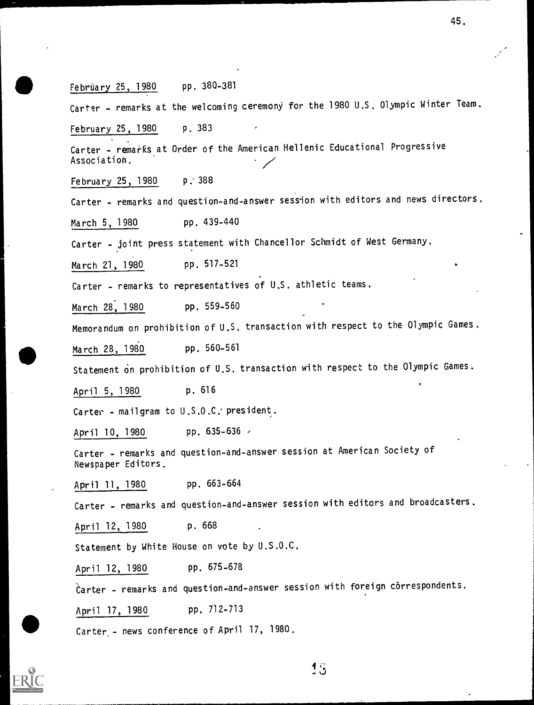February 25, 1980 pp. 380-381 Carter - remarks at the welcoming ceremony for the 1980 U.S. Olympic Winter Team. February 25, 1980 p. 383 Carter - remarks at Order of the American Hellenic Educational Progressive Association. February 25, 1980 p..388 Carter - remarks and question-and-answer session with editors and news directors. March 5, 1980 pp. 439-440 Carter - joint press statement with Chancellor Schmidt of West Germany. March 21, 1980 pp. 517-521 Carter - remarks to representatives of U.S. athletic teams. March 28, 1980 pp. 559-560 Memorandum on prohibition of U.S. transaction with respect to the Olympic Games. March 28, 1980 pp. 560-561 Statement on prohibition of U.S. transaction with respect to the Olympic Games. April 5, 1980 p. 616 Carter - mailgram to U.S.O.C. president. April 10, 1980 pp. 635-636 / Carter - remarks and question-and-answer session at American Society of Newspaper Editors. April 11, 1980 pp. 663-664 Carter - remarks and question-and-answer session with editors and broadcasters. April 12, 1980 p. 668 Statement by White House on vote by U.S.O.C. April 12, 1980 pp. 675-678 Carter - remarks and question-and-answer session with foreign correspondents. April 17, 1980 pp. 712-713

45.

Carter<sub>.</sub>- news conference of April 17, 1980.

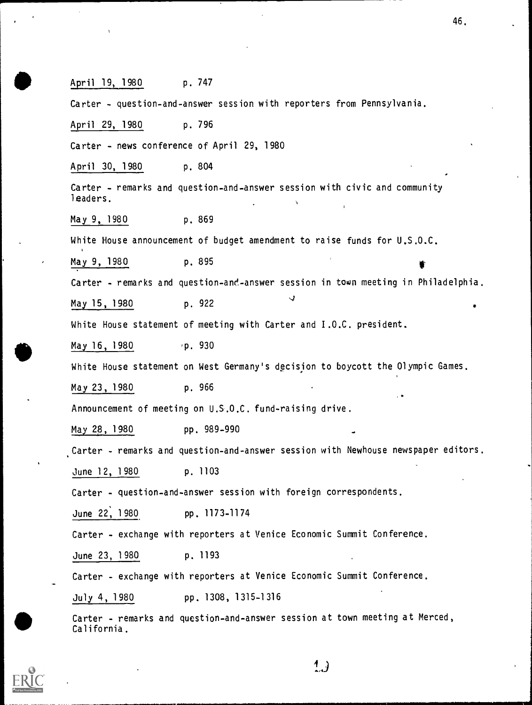April 19, 1980 p. 747 Carter - question-and-answer session with reporters from Pennsylvania. April 29, 1980 p. 796 Carter - news conference of April 29, 1980 April 30, 1980 p. 804 Carter - remarks and question-and-answer session with civic and community leaders. May 9, 1980 p. 869 White House announcement of budget amendment to raise funds for U.S.O.C. May 9, 1980 p. 895 Carter - remarks and question-and-answer session in town meeting in Philadelphia.  $\mathbf{d}$ May 15, 1980 p. 922 White House statement of meeting with Carter and I.O.C. president. May  $16, 1980$  ,  $p. 930$ White House statement on West Germany's decision to boycott the Olympic Games. May 23, 1980 p. 966 Announcement of meeting on U.S.O.C. fund-raising drive. May 28, 1980 pp. 989-990 Carter - remarks and question-and-answer session with Newhouse newspaper editors. June 12, 1980 p. 1103 Carter - question-and-answer session with foreign correspondents. June 22, 1980 pp. 1173-1174 Carter - exchange with reporters at Venice Economic Summit Conference. June 23, 1980 p. 1193 Carter - exchange with reporters at Venice Economic Summit Conference. July 4, 1980 pp. 1308, 1315-1316 Carter - remarks and que<br>California. Carter - remarks and question-and-answer session at town meeting at Merced,

California.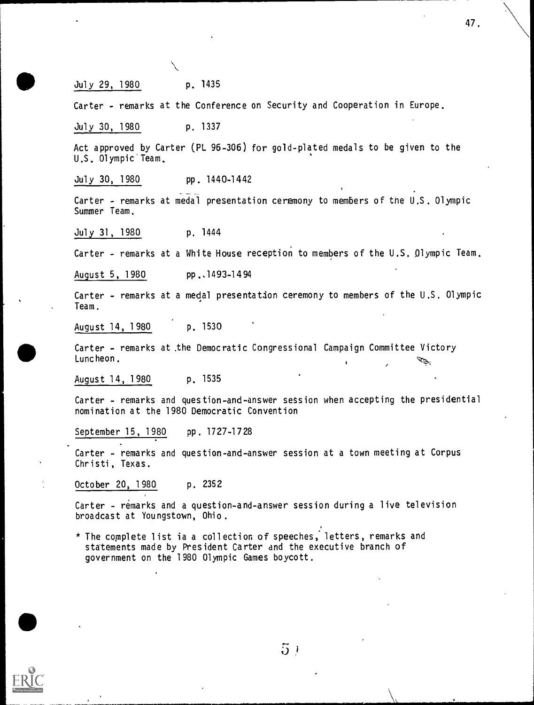47.

### July 29, 1980 p. 1435

Carter - remarks at the Conference on Security and Cooperation in Europe.

July 30, 1980 p. 1337

Act approved by Carter (PL 96-306) for gold-plated medals to be given to the U.S. Olympic Team.

July 30, 1980 pp. 1440-1442

Carter - remarks at medal presentation ceremony to members of the U.S. Olympic Summer Team.

July 31, 1980 p. 1444

Carter - remarks at a White House reception to members of the U.S. Olympic Team.

August 5, 1980 pp., 1493-1494

Carter - remarks at a medal presentation ceremony to members of the U.S. Olympic Team.

August 14, 1980 p. 1530

Carter - remarks at .the Democratic Congressional Campaign Committee Victory Luncheon.

August 14, 1980 p. 1535

Carter - remarks and question-and-answer session when accepting the presidential nomination at the 1980 Democratic Convention

September 15, 1980 pp. 1727-1728

Carter - remarks and question-and-answer session at a town meeting at Corpus Christi, Texas.

October 20, 1980 p. 2352

Carter - remarks and a question-and-answer session during a live television broadcast at Youngstown, Ohio.

\* The complete list ia a collection of speeches, letters, remarks and statements made by President Carter and the executive branch of government on the 1980 Olympic Games boycott.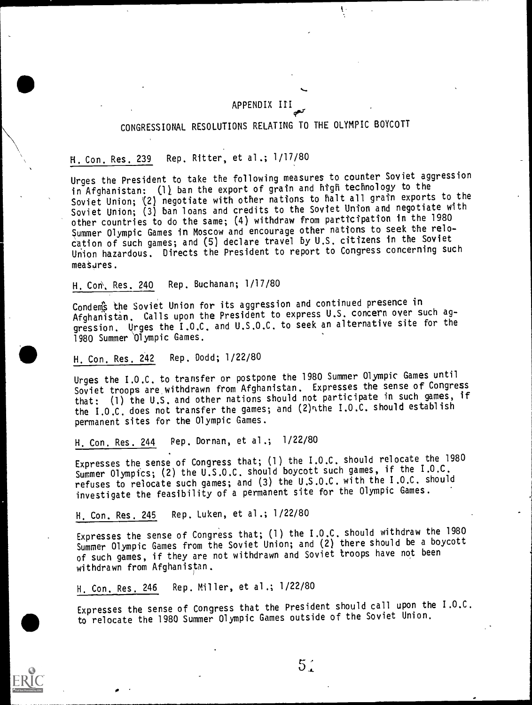### APPENDIX III

Ť.

# CONGRESSIONAL RESOLUTIONS RELATING TO THE OLYMPIC BOYCOTT

## H. Con. Res. 239 Rep. Ritter, et al.; 1/17/80

Urges the President to take the following measures to counter Soviet aggression in Afghanistan: (1) ban the export of grain and high technology to the Soviet Union; (2) negotiate with other nations to halt all grain exports to the Soviet Union; (3) ban loans and credits to the Soviet Union and negotiate with other countries to do the same; (4) withdraw from parttcipation in the 1980 Summer Olympic Games in Moscow and encourage other nations to seek the relocation of such games; and (5) declare travel by U.S. citizens in the Soviet Union hazardous. Directs the President to report to Congress concerning such measures.

H. Con, Res. 240 Rep. Buchanan; 1/17/80

Condems the Soviet Union for its aggression and continued presence in Afghanistan. Calls upon the President to express U.S. concern over such aggression. Urges the I.O.C. and U.S.O.C. to seek an alternative site for the 1980 Summer 'Olympic Games.

### H. Con. Res. 242 Rep. Dodd; 1/22/80

Urges the I.O.C. to transfer or postpone the 1980 Summer Olympic Games until Soviet troops are,withdrawn from Afghanistan. Expresses the sense of Congress that: (1) the U.S. and other nations should not participate in such games, if the I.O.C. does not transfer the games; and (2) nthe I.O.C. should establish permanent sites for the Olympic Games.

## H. Con. Res. 244 Pep. Dornan, et al.; 1/22/80

Expresses the, sense of Congress that; (1) the I.O.C. should relocate the 1980 Summer Olympics; (2) the U.S.O.C. should boycott such games, if the I.O.C. refuses to relocate such games; and (3) the U.S.O.C. with the I.O.C. should investigate the feasibility of a permanent site for the Olympic Games.

H. Con. Res. 245 Rep. Luken, et al.; 1/22/80

Expresses the sense of Congress that; (1) the I.O.C. should withdraw the 1980 Summer Olympic Games from the Soviet Union; and (2) there should be a boycott of such games, if they are not withdrawn and Soviet troops have not been withdrawn from Afghanistan.

H. Con. Res. 246 Rep. Miller, et al.; 1/22/80

Expresses the sense of Congress that the President should call upon the I.O.C. to relocate the 1980 Summer Olympic Games outside of the Soviet Union.

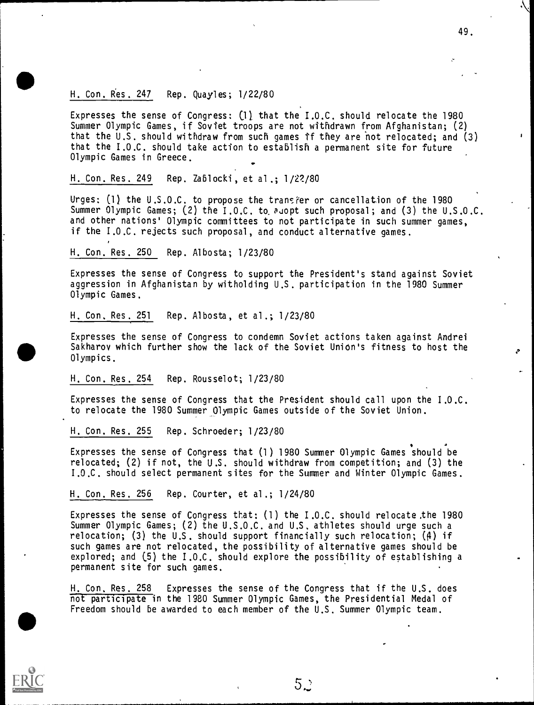### H. Con. Res. 247 Rep. Quayles; 1/22/80

Expresses the sense of Congress:  $(1)$  that the I.O.C. should relocate the 1980 Summer Olympic Games, if Soviet troops are not withdrawn from Afghanistan; (2) that the U.S. should withdraw from such games tf they are hot relocated; and (3) that the I.O.C. should take action to establish a permanent site for future Olympic Games in Greece. .

49.

### H. Con. Res. 249 Rep. Zablocki, et al.; 1/22/80

Urges:  $(1)$  the U.S.O.C. to propose the transfer or cancellation of the 1980 Summer Olympic Games; (2) the  $1.0.C.$  to and proposal; and (3) the U.S.O.C. and other nations' Olympic committees to not participate in such summer games, if the I.O.C. rejects such proposal, and conduct alternative games.

### H. Con. Res. 250 Rep. Albosta; 1/23/80

Expresses the sense of Congress to support the President's stand against Soviet aggression in Afghanistan by witholding U.S. participation in the 1980 Summer Olympic Games.

H. Con. Res., 251 Rep. Albosta, et al.; 1/23/80

Expresses the sense of Congress to condemn Soviet actions taken against Andrei Sakharov which further show the lack of the Soviet Union's fitness to host the Olympics.

H. Con. Res. 254 Rep. Rousselot; 1/23/80

Expresses the sense of Congress that the President should call upon the I.O.C. to relocate the 1980 Summer Olympic Games outside of the Soviet Union.

H. Con. Res. 255 Rep. Schroeder; 1/23/80

Expresses the sense of Congress that (1) 1980 Summer Olympic Games should be relocated; (2) if not, the U.S. should withdraw from competition; and (3) the I.O.C. should select permanent sites for the Summer and Winter Olympic Games.

### H. Con. Res. 256 Rep. Courter, et al.; 1/24/80

Expresses the sense of Congress that; (1) the I.O.C. should relocate .the 1980 Summer Olympic Games; (2) the U.S.O.C. and U.S. athletes should urge such a relocation; (3) the U.S. should support financially such relocation; (4) if such games are not relocated, the possibility of alternative games should be explored; and (5) the I.O.C. should explore the possibility of establishing a permanent site for such games.

H. Con. Res. 258 Expresses the sense of the Congress that if the U.S. does not participate in the 1980 Summer Olympic Games, the Presidential Medal of Freedom should be awarded to each member of the U.S. Summer Olympic team.

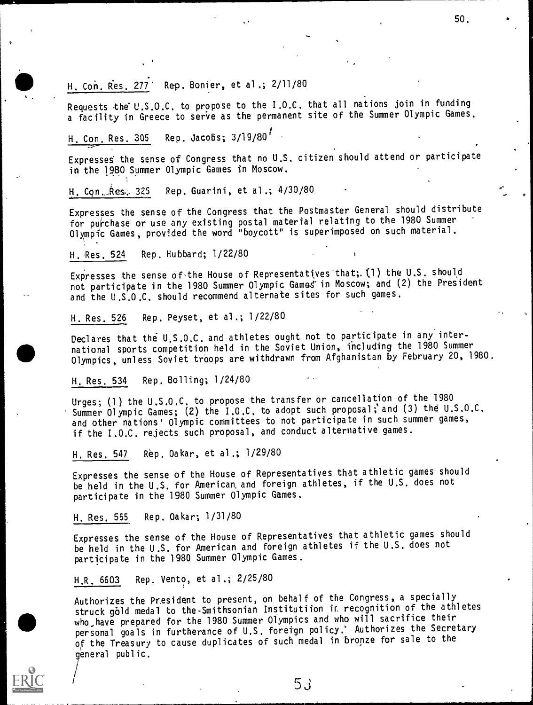H. Con. Res. 277 Rep. Bonier, et al.; 2/11/80

Requests the U.S.O.C. to propose to the I.O.C. that all nations join in funding a facility in Greece to serve as the permanent site of the Summer Olympic Games.

50.

H. Con. Res. 305 Rep. Jacobs;  $3/19/80^{17}$ 

Expresses the sense of Congress that no U.S. citizen should attend or participate in the 1980 Summer Olympic Games in Moscow.

H. Con. Res. 325 Rep. Guarini, et al.; 4/30/80

Expresses the sense of the Congress that the Postmaster General should distribute for purchase or use any existing postal material relating to the 1980 Summer Olympic Games, provided the word "boycott" is superimposed on such material.

H. Res. 524 Rep. Hubbard; 1/22/80

Expresses the sense of the House of Representatives that;. (1) the U.S. should not participate in the 1980 Summer Olympic Games in Moscow; and (2) the President and the U.S.O.C. should recommend alternate sites for such games.

H. Res. 526 Rep. Peyset, et al.; 1/22/80

Declares that the U.S.O.C. and athletes ought not to participate in any international sports competition held in the Soviet Union, including the 1980 Summer Olympics, unless Soviet troops are withdrawn from Afghanistan by February 20, 1980.

H. Res. 534 Rep. Bolling; 1/24/80

Urges; (1) the U.S.O.C. to propose the transfer or cancellation of the 1980 Summer Olympic Games; (2) the I.O.C. to adopt such proposal; and (3) the U.S.O.C. and other nations' Olympic committees to not participate in such summer games, if the I.O.C. rejects such proposal, and conduct alternative games.

H. Res. 547 Rep. Oakar, et al.; 1/29/80

Expresses the sense of the House of Representatives that athletic games should be held in the U.S. for American. and foreign athletes, if the U.S. does not participate in the 1980 Summer Olympic Games.

H. Res. 555 Rep. Oakar; 1/31/80

Expresses the sense of the House of Representatives that athletic games should be held in the U.S. for American and foreign athletes if the U.S. does not participate in the 1980 Summer Olympic Games.

H.R. 6603 Rep. Vento, et al.; 2/25/80

Authorizes the President to present, on behalf of the Congress, a specially struck gold medal to the Smithsonian Institutiion in recognition of the athletes who have prepared for the 1980 Summer Olympics and who will sacrifice their personal goals in furtherance of U.S. foreign policy. Authorizes the Secretary of the Treasury to cause duplicates of such medal in bronze for sale to the general public.

53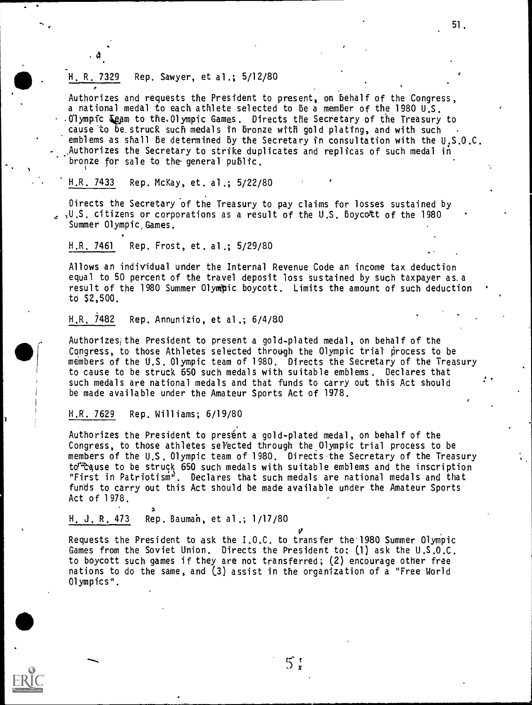### H. R. 7329 Rep. Sawyer, et al.; 5/12/80

. 4.

Authorizes and requests the President to present, on Behalf of the Congress, a national medal to each athlete selected to be a member of the 1980 U.S.  $\cdot$  .0lympic  $\mathcal{I}_{\mathcal{C}}$ am to the Olympic Games. Directs the Secretary of the Treasury to cause to be.struck such medals in bronze with gold plating, and with such emblems as shall Be determined By the Secretary in consultation with the U:S.O.C. Authorizes the Secretary to strike duplicates and replicas of such medal in - bronze for sale to the general public.

51.

#### H.R. 7433 Rep. McKay, et. al.; 5/22/80

Directs the Secretary of the Treasury to pay claims for losses sustained by  $\sim$   $\sqrt{U}$ .S. citizens or corporations as a result of the U.S. boycott of the 1980 Summer Olympic Games.

### H.R. 7461 Rep. Frost, et. al.; 5/29/80

Allows an individual under the Internal Revenue Code an income tax deduction equal to 50 percent of the travel deposit loss sustained by such taxpayer as.a result of the 1980 Summer Olympic boycott. Limits the amount of such deduction to \$2,500.

### H.R. 7482 Rep. Annunizio, et al.; 6/4/80

Authorizesithe President to present a gold-plated medal, on behalf of the Congress, to those Athletes selected through the Olympic trial process to be members of the U.S. Olympic team of 1980. Directs the Secretary of the Treasury to cause to be struck 650 such medals with suitable emblems. Declares that such medals are national medals and that funds to carry out this Act should be made available under the Amateur Sports Act of 1978.

#### H.R. 7629 Rep. Williams; 6/19/80

Authorizes the President to presént a gold-plated medal, on behalf of the Congress, to those athletes selected through the Olympic trial process to be members of the U.S. Olympic team of 1980. Directs.the Secretary of the Treasury to<sup>r</sup> cause to be struck 650 such medals with suitable emblems and the inscription "First in Patriotism". Declares that such medals are national medals and that funds to carry out this Act should be made available under the Amateur Sports Act of 1978.

H. J. R. 473 Rep. Bauman, et al.; 1/17/80

a

Requests the President to ask the I.O.C. to transfer the'1980 Summer Olympic Games from the Soviet Union. Directs the President to: (1) ask the U.S.O.C. to boycott such games if they are not transferred; (2) encourage other free nations to do the same, and (3) assist in the organization of a "Free World Olympics".

 $5:$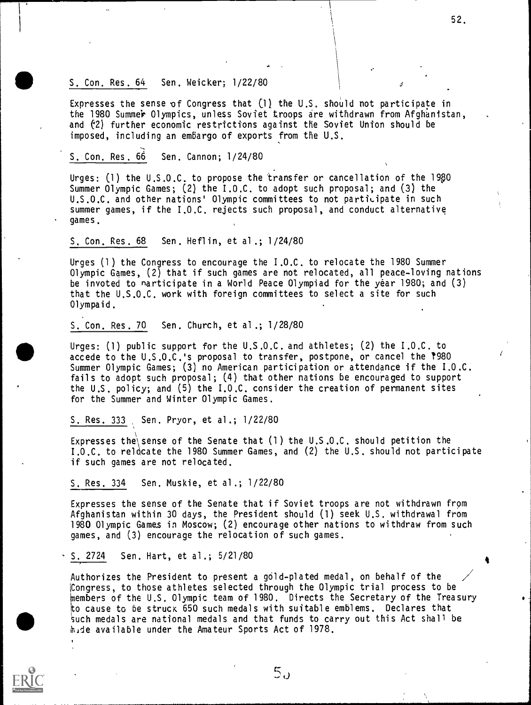### S. Con. Res. 64 Sen. Weicker; 1/22/80

Expresses the sense of Congress that  $(1)$  the U.S. should not participate in the 1980 Summer Olympics, unless Soviet troops are withdrawn from Afghanistan, and (2) further economic restrictions against the Soviet Union should be imposed, including an embargo of exports from the U.S.

52.

S. Con. Res. 66 Sen. Cannon; 1/24/80

Urges: (1) the  $U.S.O.C.$  to propose the transfer or cancellation of the 1980 Summer Olympic Games; (2) the I.O.C. to adopt such proposal; and (3) the  $U.S.O.C.$  and other nations' Olympic committees to not participate in such summer games, if the I.O.C. rejects such proposal, and conduct alternative games.

S. Con. Res. 68 Sen. Heflin, et al.; 1/24/80

Urges (1) the Congress to encourage the I.O.C. to relocate the 1980 Summer Olympic Games, (2) that if such games are not relocated, all peace-loving nations be invoted to narticipate in a World Peace Olympiad for the year 1980; and (3) that the U.S.O.C. work with foreign committees to select a site for such Olympaid.

S. Con. Res. 70 Sen. Church, et al.; 1/28/80

 $\overline{a}$ Urges: (1) public support for the U.S.O.C. and athletes; (2) the I.O.C. to accede to the U.S.O.C.'s proposal to transfer, postpone, or cancel the T980 Summer Olympic Games; (3) no American participation or attendance if the I.O.C. fails to adopt such proposal; (4) that other nations be encouraged to support the U.S. policy; and (5) the I.O.C. consider the creation of permanent sites for the Summer and Winter Olympic Games.

S. Res. 333 Sen. Pryor, et al.; 1/22/80

Expresses the sense of the Senate that  $(1)$  the U.S.O.C. should petition the I.O.C. to relocate the 1980 Summer Games, and (2) the U.S. should not participate if such games are not relocated.

S. Res. 334 Sen. Muskie, et al.; 1/22/80

Expresses the sense of the Senate that if Soviet troops are not withdrawn from Afghanistan within 30 days, the President should (1) seek U.S. withdrawal from 1980 Olympic Games in Moscow; (2) encourage other nations to withdraw from such games, and (3) encourage the relocation of such games.

S. 2724 Sen. Hart, et al.; 5/21/80

Authorizes the President to present a gold-plated medal, on behalf of the Congress, to those athletes selected through the Olympic trial process to be Members of the U.S. Olympic team of 1980. Directs the Secretary of the Treasury to cause to be struck 650 such medals with suitable emblems. Declares that such medals are national medals and that funds to carry out this Act shall be hade available under the Amateur Sports Act of 1978.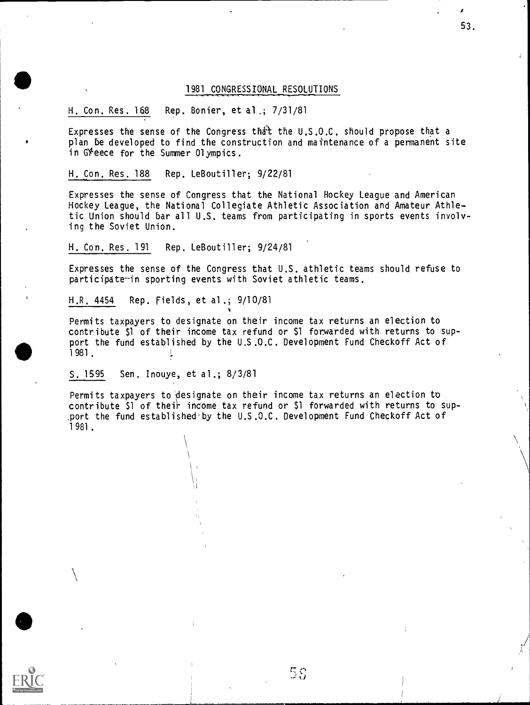#### 1 981 CONGRESSIONAL RESOLUTIONS

#### H. Con. Res. 168 Rep. Bonier, et al.; 7/31/81

Expresses the sense of the Congress that the U.S.O.C. should propose that a plan be developed to find the construction and maintenance of a permanent site in Greece for the Summer Olympics.

#### H. Con. Res. 188 Rep. LeBoutiller; 9/22/81

Expresses the sense of Congress that the National Hockey League and American<br>Hockey League, the National Collegiate Athletic Association and Amateur Athletic Union should bar all U.S. teams from participating in sports events involving the Soviet Union.

#### H. Con. Res. 191 Rep. LeBoutiller; 9/24/81

Expresses the sense of the Congress that  $U.S.$  athletic teams should refuse to participate-in sporting events with Soviet athletic teams.

H.R. 4454 Rep. Fields, et al .; 9/1 0/81

Permits taxpayers to designate on their income tax returns an election to contribute \$1 of their income tax refund or \$l forwarded with returns to sup- port the fund established by the U.S .0.C. Development Fund Checkoff Act of 1981. !

 $\mathbf{v}$ 

S. 15 95 Sen. Inouye, et al.; 8/3/81

Vita 1991 I  $\mathcal{L} \rightarrow \mathcal{L}$ 

 $\sqrt{2}$ 

 $\bullet$  to the set of  $\bullet$ 

Permits taxpayers to designate on their income tax returns an election to contribute  $$1$  of their income tax refund or  $$1$  forwarded with returns to sup-.port the fund established'by the U.S.O.C. Development Fund Checkoff Act of 1 981.

59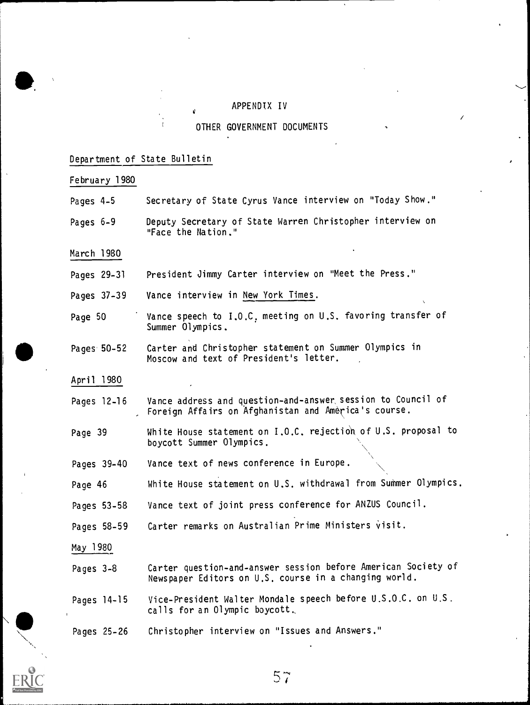#### APPENDIX IV

#### Department of State Bulletin

February 1980 Pages 4-5 Secretary of State Cyrus Vance interview on "Today Show." Pages 6-9 Deputy Secretary of State Warren Christopher interview on "Face the Nation." March 1980 Pages 29-31 President Jimmy Carter interview on "Meet the Press." Pages 37-39 Vance interview in New York Times. Page 50 Vance speech to I.O.C. meeting on U.S. favoring transfer of Summer Olympics. Pages 50-52 Carter and Christopher statement on Summer Olympics in Moscow and text of President's letter. April 1980 Pages 12-16 Page 39 Vance address and question-and-answer session to Council of Foreign Affairs on Afghanistan and America's course. White House statement on I.O.C. rejection of U.S. proposal to boycott Summer Olympics. Pages 39-40 Vance text of news conference in Europe. Page 46 White House statement on U.S. withdrawal from Summer Olympics. Pages 53-58 Vance text of joint press conference for ANZUS Council. Pages 58-59 Carter remarks on Australian Prime Ministers visit. May 1 980 Pages 3-8 Carter question-and-answer session before American Society of Newspaper Editors on U.S. course in a changing world. Pages 14-15 Vice-President Walter Mondale speech before U.S.O.C. on U.S. calls for an Olympic boycott, Pages 25-26 Christopher interview on "Issues and Answers."



57